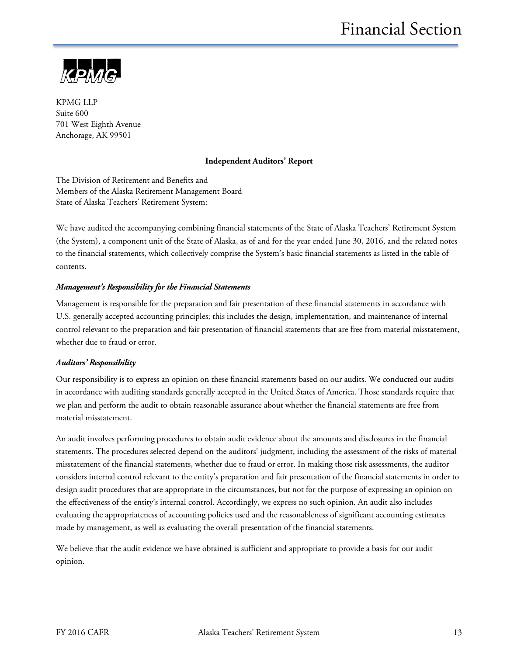

KPMG LLP Suite 600 701 West Eighth Avenue Anchorage, AK 99501

### **Independent Auditors' Report**

The Division of Retirement and Benefits and Members of the Alaska Retirement Management Board State of Alaska Teachers' Retirement System:

We have audited the accompanying combining financial statements of the State of Alaska Teachers' Retirement System (the System), a component unit of the State of Alaska, as of and for the year ended June 30, 2016, and the related notes to the financial statements, which collectively comprise the System's basic financial statements as listed in the table of contents.

### *Management's Responsibility for the Financial Statements*

Management is responsible for the preparation and fair presentation of these financial statements in accordance with U.S. generally accepted accounting principles; this includes the design, implementation, and maintenance of internal control relevant to the preparation and fair presentation of financial statements that are free from material misstatement, whether due to fraud or error.

### *Auditors' Responsibility*

Our responsibility is to express an opinion on these financial statements based on our audits. We conducted our audits in accordance with auditing standards generally accepted in the United States of America. Those standards require that we plan and perform the audit to obtain reasonable assurance about whether the financial statements are free from material misstatement.

An audit involves performing procedures to obtain audit evidence about the amounts and disclosures in the financial statements. The procedures selected depend on the auditors' judgment, including the assessment of the risks of material misstatement of the financial statements, whether due to fraud or error. In making those risk assessments, the auditor considers internal control relevant to the entity's preparation and fair presentation of the financial statements in order to design audit procedures that are appropriate in the circumstances, but not for the purpose of expressing an opinion on the effectiveness of the entity's internal control. Accordingly, we express no such opinion. An audit also includes evaluating the appropriateness of accounting policies used and the reasonableness of significant accounting estimates made by management, as well as evaluating the overall presentation of the financial statements.

We believe that the audit evidence we have obtained is sufficient and appropriate to provide a basis for our audit opinion.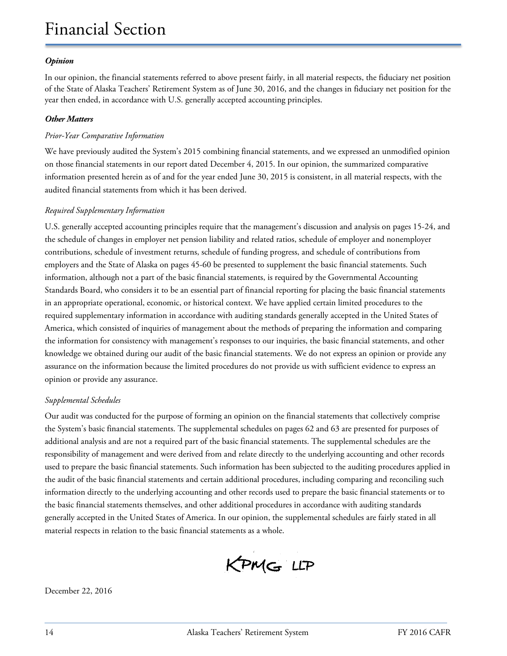### *Opinion*

In our opinion, the financial statements referred to above present fairly, in all material respects, the fiduciary net position of the State of Alaska Teachers' Retirement System as of June 30, 2016, and the changes in fiduciary net position for the year then ended, in accordance with U.S. generally accepted accounting principles.

### *Other Matters*

### *Prior-Year Comparative Information*

We have previously audited the System's 2015 combining financial statements, and we expressed an unmodified opinion on those financial statements in our report dated December 4, 2015. In our opinion, the summarized comparative information presented herein as of and for the year ended June 30, 2015 is consistent, in all material respects, with the audited financial statements from which it has been derived.

### *Required Supplementary Information*

U.S. generally accepted accounting principles require that the management's discussion and analysis on pages 15-24, and the schedule of changes in employer net pension liability and related ratios, schedule of employer and nonemployer contributions, schedule of investment returns, schedule of funding progress, and schedule of contributions from employers and the State of Alaska on pages 45-60 be presented to supplement the basic financial statements. Such information, although not a part of the basic financial statements, is required by the Governmental Accounting Standards Board, who considers it to be an essential part of financial reporting for placing the basic financial statements in an appropriate operational, economic, or historical context. We have applied certain limited procedures to the required supplementary information in accordance with auditing standards generally accepted in the United States of America, which consisted of inquiries of management about the methods of preparing the information and comparing the information for consistency with management's responses to our inquiries, the basic financial statements, and other knowledge we obtained during our audit of the basic financial statements. We do not express an opinion or provide any assurance on the information because the limited procedures do not provide us with sufficient evidence to express an opinion or provide any assurance.

### *Supplemental Schedules*

Our audit was conducted for the purpose of forming an opinion on the financial statements that collectively comprise the System's basic financial statements. The supplemental schedules on pages 62 and 63 are presented for purposes of additional analysis and are not a required part of the basic financial statements. The supplemental schedules are the responsibility of management and were derived from and relate directly to the underlying accounting and other records used to prepare the basic financial statements. Such information has been subjected to the auditing procedures applied in the audit of the basic financial statements and certain additional procedures, including comparing and reconciling such information directly to the underlying accounting and other records used to prepare the basic financial statements or to the basic financial statements themselves, and other additional procedures in accordance with auditing standards generally accepted in the United States of America. In our opinion, the supplemental schedules are fairly stated in all material respects in relation to the basic financial statements as a whole.

KPMG LLP

December 22, 2016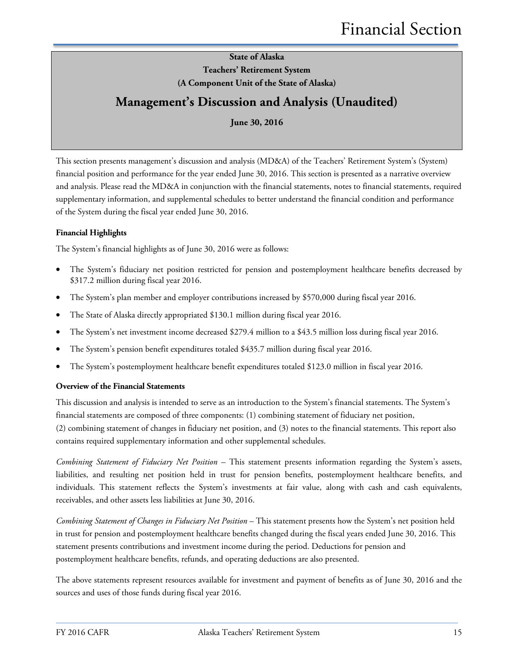# **Management's Discussion and Analysis (Unaudited)**

**June 30, 2016**

This section presents management's discussion and analysis (MD&A) of the Teachers' Retirement System's (System) financial position and performance for the year ended June 30, 2016. This section is presented as a narrative overview and analysis. Please read the MD&A in conjunction with the financial statements, notes to financial statements, required supplementary information, and supplemental schedules to better understand the financial condition and performance of the System during the fiscal year ended June 30, 2016.

### **Financial Highlights**

The System's financial highlights as of June 30, 2016 were as follows:

- The System's fiduciary net position restricted for pension and postemployment healthcare benefits decreased by \$317.2 million during fiscal year 2016.
- The System's plan member and employer contributions increased by \$570,000 during fiscal year 2016.
- The State of Alaska directly appropriated \$130.1 million during fiscal year 2016.
- The System's net investment income decreased \$279.4 million to a \$43.5 million loss during fiscal year 2016.
- The System's pension benefit expenditures totaled \$435.7 million during fiscal year 2016.
- The System's postemployment healthcare benefit expenditures totaled \$123.0 million in fiscal year 2016.

### **Overview of the Financial Statements**

This discussion and analysis is intended to serve as an introduction to the System's financial statements. The System's financial statements are composed of three components: (1) combining statement of fiduciary net position, (2) combining statement of changes in fiduciary net position, and (3) notes to the financial statements. This report also contains required supplementary information and other supplemental schedules.

*Combining Statement of Fiduciary Net Position* – This statement presents information regarding the System's assets, liabilities, and resulting net position held in trust for pension benefits, postemployment healthcare benefits, and individuals. This statement reflects the System's investments at fair value, along with cash and cash [equivalents,](https://www.google.com/search?espv=2&biw=1577&bih=766&q=equivalents&spell=1&sa=X&ved=0ahUKEwi56Kv-oL_QAhXBwlQKHbMmC88QvwUIGCgA) receivables, and other assets less liabilities at June 30, 2016.

*Combining Statement of Changes in Fiduciary Net Position* – This statement presents how the System's net position held in trust for pension and postemployment healthcare benefits changed during the fiscal years ended June 30, 2016. This statement presents contributions and investment income during the period. Deductions for pension and postemployment healthcare benefits, refunds, and operating deductions are also presented.

The above statements represent resources available for investment and payment of benefits as of June 30, 2016 and the sources and uses of those funds during fiscal year 2016.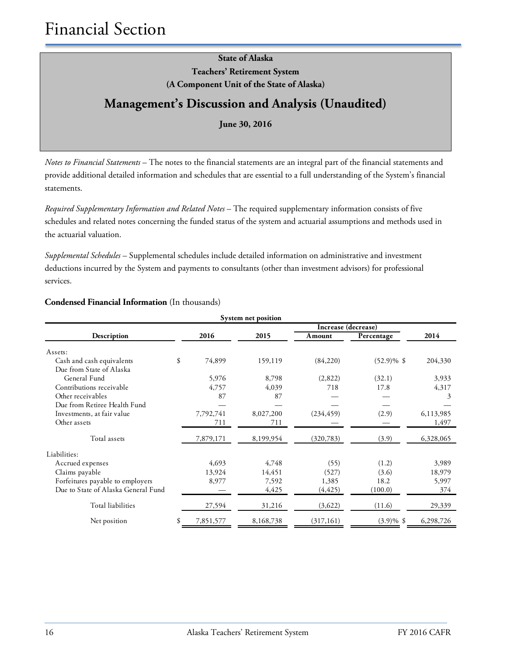# **Management's Discussion and Analysis (Unaudited)**

**June 30, 2016**

*Notes to Financial Statements* – The notes to the financial statements are an integral part of the financial statements and provide additional detailed information and schedules that are essential to a full understanding of the System's financial statements.

*Required Supplementary Information and Related Notes* – The required supplementary information consists of five schedules and related notes concerning the funded status of the system and actuarial assumptions and methods used in the actuarial valuation.

*Supplemental Schedules* – Supplemental schedules include detailed information on administrative and investment deductions incurred by the System and payments to consultants (other than investment advisors) for professional services.

### **Condensed Financial Information** (In thousands)

| System net position                 |    |           |           |                     |               |           |  |  |  |
|-------------------------------------|----|-----------|-----------|---------------------|---------------|-----------|--|--|--|
|                                     |    |           |           | Increase (decrease) |               |           |  |  |  |
| Description                         |    | 2016      | 2015      | Amount              | Percentage    | 2014      |  |  |  |
| Assets:                             |    |           |           |                     |               |           |  |  |  |
| Cash and cash equivalents           | \$ | 74,899    | 159,119   | (84,220)            | $(52.9)\%$ \$ | 204,330   |  |  |  |
| Due from State of Alaska            |    |           |           |                     |               |           |  |  |  |
| General Fund                        |    | 5,976     | 8,798     | (2,822)             | (32.1)        | 3,933     |  |  |  |
| Contributions receivable            |    | 4,757     | 4,039     | 718                 | 17.8          | 4,317     |  |  |  |
| Other receivables                   |    | 87        | 87        |                     |               | 3         |  |  |  |
| Due from Retiree Health Fund        |    |           |           |                     |               |           |  |  |  |
| Investments, at fair value          |    | 7,792,741 | 8,027,200 | (234, 459)          | (2.9)         | 6,113,985 |  |  |  |
| Other assets                        |    | 711       | 711       |                     |               | 1,497     |  |  |  |
| Total assets                        |    | 7,879,171 | 8,199,954 | (320, 783)          | (3.9)         | 6,328,065 |  |  |  |
| Liabilities:                        |    |           |           |                     |               |           |  |  |  |
| Accrued expenses                    |    | 4,693     | 4,748     | (55)                | (1.2)         | 3,989     |  |  |  |
| Claims payable                      |    | 13,924    | 14,451    | (527)               | (3.6)         | 18,979    |  |  |  |
| Forfeitures payable to employers    |    | 8,977     | 7,592     | 1,385               | 18.2          | 5,997     |  |  |  |
| Due to State of Alaska General Fund |    |           | 4,425     | (4, 425)            | (100.0)       | 374       |  |  |  |
| Total liabilities                   |    | 27,594    | 31,216    | (3,622)             | (11.6)        | 29,339    |  |  |  |
| Net position                        | \$ | 7,851,577 | 8,168,738 | (317, 161)          | $(3.9)\%$ \$  | 6,298,726 |  |  |  |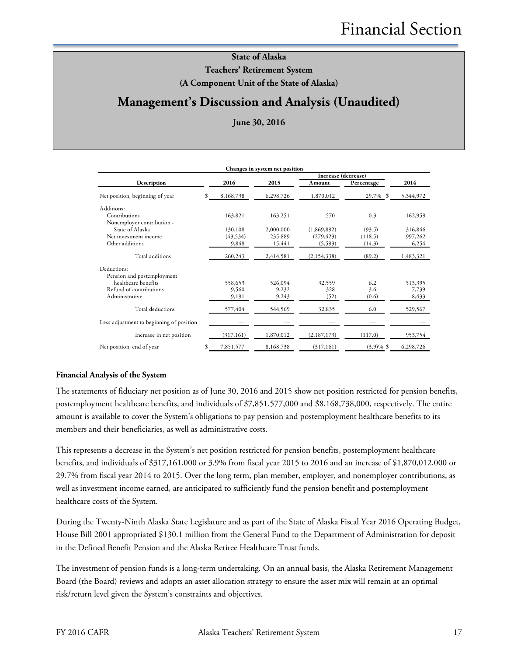**Teachers' Retirement System**

**(A Component Unit of the State of Alaska)**

# **Management's Discussion and Analysis (Unaudited)**

### **June 30, 2016**

| Changes in system net position           |                     |           |           |             |              |           |  |  |  |  |  |
|------------------------------------------|---------------------|-----------|-----------|-------------|--------------|-----------|--|--|--|--|--|
|                                          | Increase (decrease) |           |           |             |              |           |  |  |  |  |  |
| Description                              |                     | 2016      | 2015      | Amount      | Percentage   | 2014      |  |  |  |  |  |
| Net position, beginning of year          |                     | 8,168,738 | 6,298,726 | 1,870,012   | 29.7% \$     | 5,344,972 |  |  |  |  |  |
| Additions:                               |                     |           |           |             |              |           |  |  |  |  |  |
| Contributions                            |                     | 163,821   | 163,251   | 570         | 0.3          | 162,959   |  |  |  |  |  |
| Nonemployer contribution -               |                     |           |           |             |              |           |  |  |  |  |  |
| State of Alaska                          |                     | 130,108   | 2,000,000 | (1,869,892) | (93.5)       | 316,846   |  |  |  |  |  |
| Net investment income                    |                     | (43, 534) | 235,889   | (279, 423)  | (118.5)      | 997,262   |  |  |  |  |  |
| Other additions                          |                     | 9,848     | 15,441    | (5,593)     | (14.3)       | 6,254     |  |  |  |  |  |
| Total additions                          |                     | 260,243   | 2,414,581 | (2,154,338) | (89.2)       | 1,483,321 |  |  |  |  |  |
| Deductions:                              |                     |           |           |             |              |           |  |  |  |  |  |
| Pension and postemployment               |                     |           |           |             |              |           |  |  |  |  |  |
| healthcare benefits                      |                     | 558,653   | 526,094   | 32,559      | 6.2          | 513,395   |  |  |  |  |  |
| Refund of contributions                  |                     | 9,560     | 9,232     | 328         | 3.6          | 7,739     |  |  |  |  |  |
| Administrative                           |                     | 9,191     | 9,243     | (52)        | (0.6)        | 8,433     |  |  |  |  |  |
| Total deductions                         |                     | 577,404   | 544,569   | 32,835      | 6.0          | 529,567   |  |  |  |  |  |
| Less adjustment to beginning of position |                     |           |           |             |              |           |  |  |  |  |  |
| Increase in net position                 |                     | (317,161) | 1,870,012 | (2,187,173) | (117.0)      | 953,754   |  |  |  |  |  |
| Net position, end of year                | \$                  | 7,851,577 | 8,168,738 | (317, 161)  | $(3.9)\%$ \$ | 6,298,726 |  |  |  |  |  |

### **Financial Analysis of the System**

The statements of fiduciary net position as of June 30, 2016 and 2015 show net position restricted for pension benefits, postemployment healthcare benefits, and individuals of \$7,851,577,000 and \$8,168,738,000, respectively. The entire amount is available to cover the System's obligations to pay pension and postemployment healthcare benefits to its members and their beneficiaries, as well as administrative costs.

This represents a decrease in the System's net position restricted for pension benefits, postemployment healthcare benefits, and individuals of \$317,161,000 or 3.9% from fiscal year 2015 to 2016 and an increase of \$1,870,012,000 or 29.7% from fiscal year 2014 to 2015. Over the long term, plan member, employer, and nonemployer contributions, as well as investment income earned, are anticipated to sufficiently fund the pension benefit and postemployment healthcare costs of the System.

During the Twenty-Ninth Alaska State Legislature and as part of the State of Alaska Fiscal Year 2016 Operating Budget, House Bill 2001 appropriated \$130.1 million from the General Fund to the Department of Administration for deposit in the Defined Benefit Pension and the Alaska Retiree Healthcare Trust funds.

The investment of pension funds is a long-term undertaking. On an annual basis, the Alaska Retirement Management Board (the Board) reviews and adopts an asset allocation strategy to ensure the asset mix will remain at an optimal risk/return level given the System's constraints and objectives.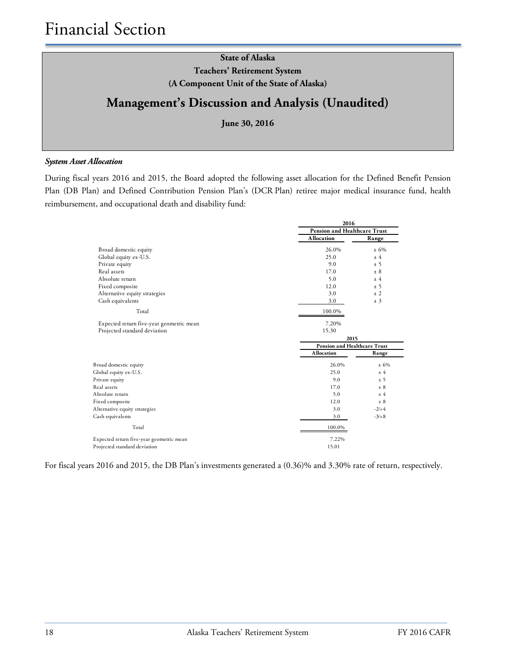# **Management's Discussion and Analysis (Unaudited)**

**June 30, 2016**

#### *System Asset Allocation*

During fiscal years 2016 and 2015, the Board adopted the following asset allocation for the Defined Benefit Pension Plan (DB Plan) and Defined Contribution Pension Plan's (DCR Plan) retiree major medical insurance fund, health reimbursement, and occupational death and disability fund:

|                                          | 2016                                |         |  |  |  |
|------------------------------------------|-------------------------------------|---------|--|--|--|
|                                          | Pension and Healthcare Trust        |         |  |  |  |
|                                          | <b>Allocation</b>                   | Range   |  |  |  |
| Broad domestic equity                    | 26.0%                               | $± 6\%$ |  |  |  |
| Global equity ex-U.S.                    | 25.0                                | ± 4     |  |  |  |
| Private equity                           | 9.0                                 | ± 5     |  |  |  |
| Real assets                              | 17.0                                | $+8$    |  |  |  |
| Absolute return                          | 5.0                                 | $+4$    |  |  |  |
| Fixed composite                          | 12.0                                | ± 5     |  |  |  |
| Alternative equity strategies            | 3.0                                 | ± 2     |  |  |  |
| Cash equivalents                         | 3.0                                 | ± 3     |  |  |  |
| Total                                    | 100.0%                              |         |  |  |  |
| Expected return five-year geometric mean | 7.20%                               |         |  |  |  |
| Projected standard deviation             | 15.30                               |         |  |  |  |
|                                          | 2015                                |         |  |  |  |
|                                          | <b>Pension and Healthcare Trust</b> |         |  |  |  |
|                                          | <b>Allocation</b>                   | Range   |  |  |  |
| Broad domestic equity                    | 26.0%                               | ± 6%    |  |  |  |
| Global equity ex-U.S.                    | 25.0                                | $+4$    |  |  |  |
| Private equity                           | 9.0                                 | ± 5     |  |  |  |
| Real assets                              | 17.0                                | ± 8     |  |  |  |
| Absolute return                          | 5.0                                 | ± 4     |  |  |  |
| Fixed composite                          | 12.0                                | ± 8     |  |  |  |
| Alternative equity strategies            | 3.0                                 | $-2/44$ |  |  |  |
| Cash equivalents                         | 3.0                                 | $-3/8$  |  |  |  |
| Total                                    | 100.0%                              |         |  |  |  |
| Expected return five-year geometric mean | 7.22%                               |         |  |  |  |
| Projected standard deviation             | 15.01                               |         |  |  |  |

For fiscal years 2016 and 2015, the DB Plan's investments generated a (0.36)% and 3.30% rate of return, respectively.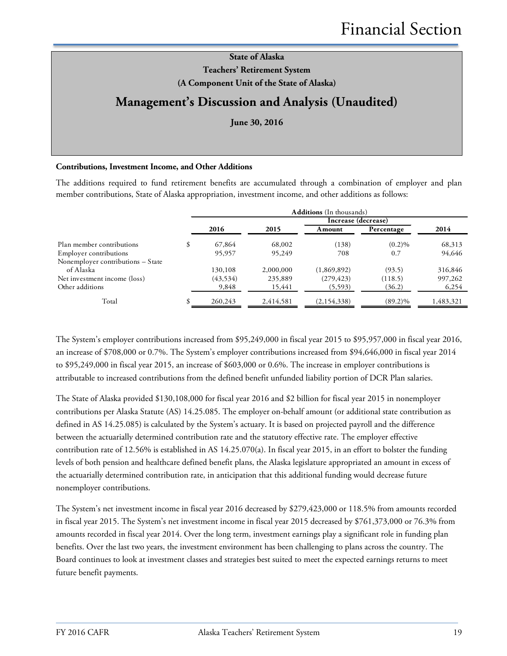# **Management's Discussion and Analysis (Unaudited)**

**June 30, 2016**

#### **Contributions, Investment Income, and Other Additions**

The additions required to fund retirement benefits are accumulated through a combination of employer and plan member contributions, State of Alaska appropriation, investment income, and other additions as follows:

|                                   | <b>Additions</b> (In thousands) |           |           |                     |            |           |  |  |
|-----------------------------------|---------------------------------|-----------|-----------|---------------------|------------|-----------|--|--|
|                                   |                                 |           |           | Increase (decrease) |            |           |  |  |
|                                   |                                 | 2016      | 2015      | Amount              | Percentage | 2014      |  |  |
| Plan member contributions         | \$                              | 67,864    | 68,002    | (138)               | $(0.2)\%$  | 68,313    |  |  |
| Employer contributions            |                                 | 95,957    | 95,249    | 708                 | 0.7        | 94,646    |  |  |
| Nonemployer contributions – State |                                 |           |           |                     |            |           |  |  |
| of Alaska                         |                                 | 130,108   | 2,000,000 | (1,869,892)         | (93.5)     | 316,846   |  |  |
| Net investment income (loss)      |                                 | (43, 534) | 235,889   | (279, 423)          | (118.5)    | 997,262   |  |  |
| Other additions                   |                                 | 9.848     | 15,441    | (5,593)             | (36.2)     | 6,254     |  |  |
| Total                             |                                 | 260,243   | 2,414,581 | (2,154,338)         | $(89.2)\%$ | 1,483,321 |  |  |

The System's employer contributions increased from \$95,249,000 in fiscal year 2015 to \$95,957,000 in fiscal year 2016, an increase of \$708,000 or 0.7%. The System's employer contributions increased from \$94,646,000 in fiscal year 2014 to \$95,249,000 in fiscal year 2015, an increase of \$603,000 or 0.6%. The increase in employer contributions is attributable to increased contributions from the defined benefit unfunded liability portion of DCR Plan salaries.

The State of Alaska provided \$130,108,000 for fiscal year 2016 and \$2 billion for fiscal year 2015 in nonemployer contributions per Alaska Statute (AS) 14.25.085. The employer on-behalf amount (or additional state contribution as defined in AS 14.25.085) is calculated by the System's actuary. It is based on projected payroll and the difference between the actuarially determined contribution rate and the statutory effective rate. The employer effective contribution rate of 12.56% is established in AS 14.25.070(a). In fiscal year 2015, in an effort to bolster the funding levels of both pension and healthcare defined benefit plans, the Alaska legislature appropriated an amount in excess of the actuarially determined contribution rate, in anticipation that this additional funding would decrease future nonemployer contributions.

The System's net investment income in fiscal year 2016 decreased by \$279,423,000 or 118.5% from amounts recorded in fiscal year 2015. The System's net investment income in fiscal year 2015 decreased by \$761,373,000 or 76.3% from amounts recorded in fiscal year 2014. Over the long term, investment earnings play a significant role in funding plan benefits. Over the last two years, the investment environment has been challenging to plans across the country. The Board continues to look at investment classes and strategies best suited to meet the expected earnings returns to meet future benefit payments.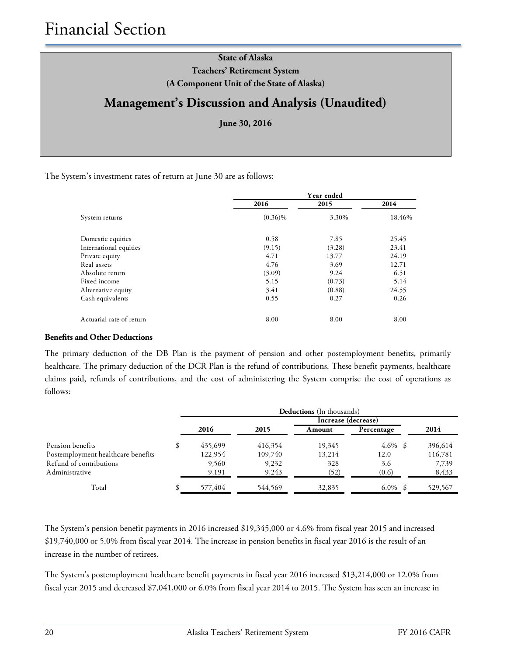# **Management's Discussion and Analysis (Unaudited)**

**June 30, 2016**

The System's investment rates of return at June 30 are as follows:

|                          | Year ended |        |        |  |  |  |  |
|--------------------------|------------|--------|--------|--|--|--|--|
|                          | 2016       | 2015   | 2014   |  |  |  |  |
| System returns           | $(0.36)\%$ | 3.30%  | 18.46% |  |  |  |  |
| Domestic equities        | 0.58       | 7.85   | 25.45  |  |  |  |  |
| International equities   | (9.15)     | (3.28) | 23.41  |  |  |  |  |
| Private equity           | 4.71       | 13.77  | 24.19  |  |  |  |  |
| Real assets              | 4.76       | 3.69   | 12.71  |  |  |  |  |
| Absolute return          | (3.09)     | 9.24   | 6.51   |  |  |  |  |
| Fixed income             | 5.15       | (0.73) | 5.14   |  |  |  |  |
| Alternative equity       | 3.41       | (0.88) | 24.55  |  |  |  |  |
| Cash equivalents         | 0.55       | 0.27   | 0.26   |  |  |  |  |
| Actuarial rate of return | 8.00       | 8.00   | 8.00   |  |  |  |  |

### **Benefits and Other Deductions**

The primary deduction of the DB Plan is the payment of pension and other postemployment benefits, primarily healthcare. The primary deduction of the DCR Plan is the refund of contributions. These benefit payments, healthcare claims paid, refunds of contributions, and the cost of administering the System comprise the cost of operations as follows:

|                                    | <b>Deductions</b> (In thousands) |         |                     |            |         |  |  |  |
|------------------------------------|----------------------------------|---------|---------------------|------------|---------|--|--|--|
|                                    |                                  |         | Increase (decrease) |            |         |  |  |  |
|                                    | 2016                             | 2015    | Amount              | Percentage | 2014    |  |  |  |
| Pension benefits                   | \$<br>435,699                    | 416,354 | 19,345              | $4.6\%$ \$ | 396,614 |  |  |  |
| Postemployment healthcare benefits | 122,954                          | 109,740 | 13,214              | 12.0       | 116,781 |  |  |  |
| Refund of contributions            | 9,560                            | 9,232   | 328                 | 3.6        | 7,739   |  |  |  |
| Administrative                     | 9,191                            | 9,243   | (52)                | (0.6)      | 8,433   |  |  |  |
| Total                              | 577,404                          | 544,569 | 32,835              | $6.0\%$    | 529,567 |  |  |  |

The System's pension benefit payments in 2016 increased \$19,345,000 or 4.6% from fiscal year 2015 and increased \$19,740,000 or 5.0% from fiscal year 2014. The increase in pension benefits in fiscal year 2016 is the result of an increase in the number of retirees.

The System's postemployment healthcare benefit payments in fiscal year 2016 increased \$13,214,000 or 12.0% from fiscal year 2015 and decreased \$7,041,000 or 6.0% from fiscal year 2014 to 2015. The System has seen an increase in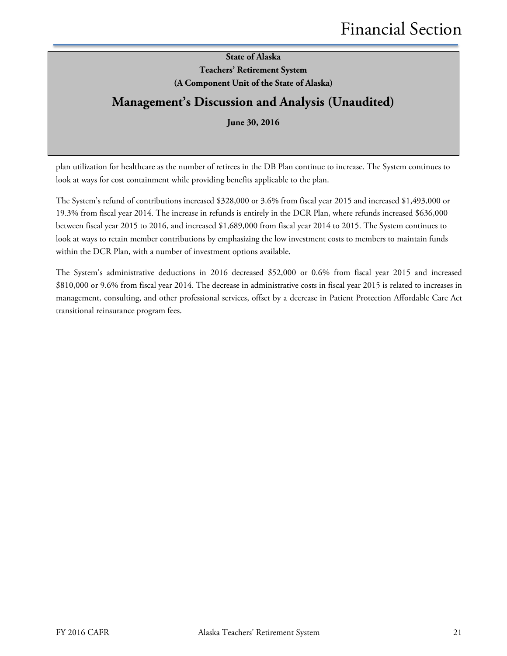# **Management's Discussion and Analysis (Unaudited)**

**June 30, 2016**

plan utilization for healthcare as the number of retirees in the DB Plan continue to increase. The System continues to look at ways for cost containment while providing benefits applicable to the plan.

The System's refund of contributions increased \$328,000 or 3.6% from fiscal year 2015 and increased \$1,493,000 or 19.3% from fiscal year 2014. The increase in refunds is entirely in the DCR Plan, where refunds increased \$636,000 between fiscal year 2015 to 2016, and increased \$1,689,000 from fiscal year 2014 to 2015. The System continues to look at ways to retain member contributions by emphasizing the low investment costs to members to maintain funds within the DCR Plan, with a number of investment options available.

The System's administrative deductions in 2016 decreased \$52,000 or 0.6% from fiscal year 2015 and increased \$810,000 or 9.6% from fiscal year 2014. The decrease in administrative costs in fiscal year 2015 is related to increases in management, consulting, and other professional services, offset by a decrease in Patient Protection Affordable Care Act transitional reinsurance program fees.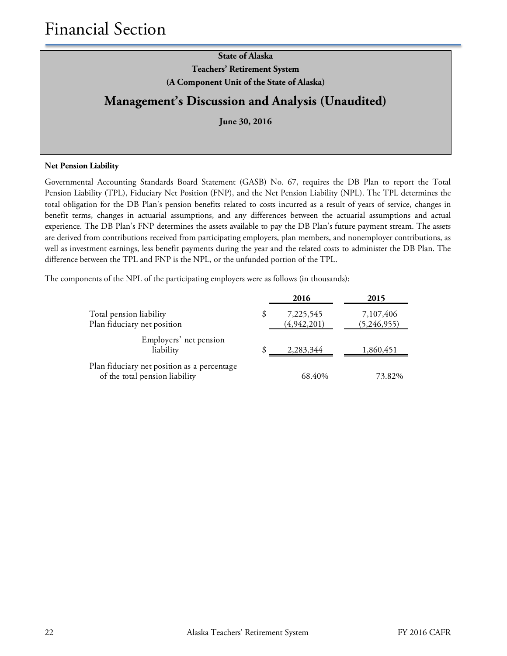# **Management's Discussion and Analysis (Unaudited)**

**June 30, 2016**

### **Net Pension Liability**

Governmental Accounting Standards Board Statement (GASB) No. 67, requires the DB Plan to report the Total Pension Liability (TPL), Fiduciary Net Position (FNP), and the Net Pension Liability (NPL). The TPL determines the total obligation for the DB Plan's pension benefits related to costs incurred as a result of years of service, changes in benefit terms, changes in actuarial assumptions, and any differences between the actuarial assumptions and actual experience. The DB Plan's FNP determines the assets available to pay the DB Plan's future payment stream. The assets are derived from contributions received from participating employers, plan members, and nonemployer contributions, as well as investment earnings, less benefit payments during the year and the related costs to administer the DB Plan. The difference between the TPL and FNP is the NPL, or the unfunded portion of the TPL.

The components of the NPL of the participating employers were as follows (in thousands):

|                                                                               | 2016            | 2015        |
|-------------------------------------------------------------------------------|-----------------|-------------|
| Total pension liability                                                       | \$<br>7,225,545 | 7,107,406   |
| Plan fiduciary net position                                                   | (4,942,201)     | (5,246,955) |
| Employers' net pension<br>liability                                           | \$<br>2,283,344 | 1,860,451   |
| Plan fiduciary net position as a percentage<br>of the total pension liability | 68.40%          | 73.82%      |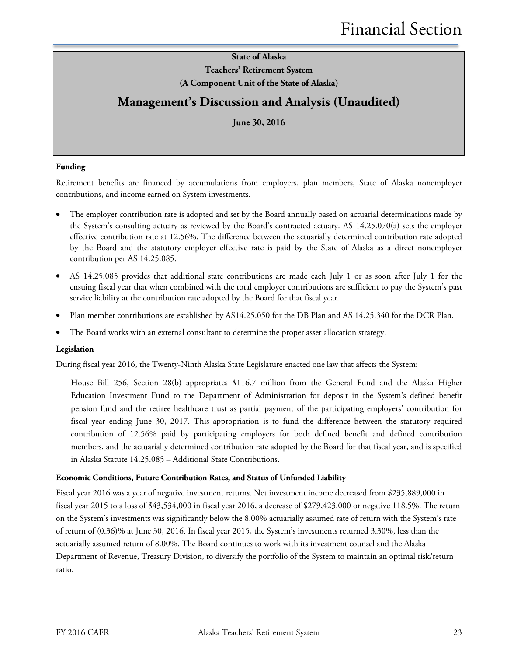### **Teachers' Retirement System**

**(A Component Unit of the State of Alaska)**

# **Management's Discussion and Analysis (Unaudited)**

**June 30, 2016**

### **Funding**

Retirement benefits are financed by accumulations from employers, plan members, State of Alaska nonemployer contributions, and income earned on System investments.

- The employer contribution rate is adopted and set by the Board annually based on actuarial determinations made by the System's consulting actuary as reviewed by the Board's contracted actuary. AS 14.25.070(a) sets the employer effective contribution rate at 12.56%. The difference between the actuarially determined contribution rate adopted by the Board and the statutory employer effective rate is paid by the State of Alaska as a direct nonemployer contribution per AS 14.25.085.
- AS 14.25.085 provides that additional state contributions are made each July 1 or as soon after July 1 for the ensuing fiscal year that when combined with the total employer contributions are sufficient to pay the System's past service liability at the contribution rate adopted by the Board for that fiscal year.
- Plan member contributions are established by AS14.25.050 for the DB Plan and AS 14.25.340 for the DCR Plan.
- The Board works with an external consultant to determine the proper asset allocation strategy.

#### **Legislation**

During fiscal year 2016, the Twenty-Ninth Alaska State Legislature enacted one law that affects the System:

House Bill 256, Section 28(b) appropriates \$116.7 million from the General Fund and the Alaska Higher Education Investment Fund to the Department of Administration for deposit in the System's defined benefit pension fund and the retiree healthcare trust as partial payment of the participating employers' contribution for fiscal year ending June 30, 2017. This appropriation is to fund the difference between the statutory required contribution of 12.56% paid by participating employers for both defined benefit and defined contribution members, and the actuarially determined contribution rate adopted by the Board for that fiscal year, and is specified in Alaska Statute 14.25.085 – Additional State Contributions.

#### **Economic Conditions, Future Contribution Rates, and Status of Unfunded Liability**

Fiscal year 2016 was a year of negative investment returns. Net investment income decreased from \$235,889,000 in fiscal year 2015 to a loss of \$43,534,000 in fiscal year 2016, a decrease of \$279,423,000 or negative 118.5%. The return on the System's investments was significantly below the 8.00% actuarially assumed rate of return with the System's rate of return of (0.36)% at June 30, 2016. In fiscal year 2015, the System's investments returned 3.30%, less than the actuarially assumed return of 8.00%. The Board continues to work with its investment counsel and the Alaska Department of Revenue, Treasury Division, to diversify the portfolio of the System to maintain an optimal risk/return ratio.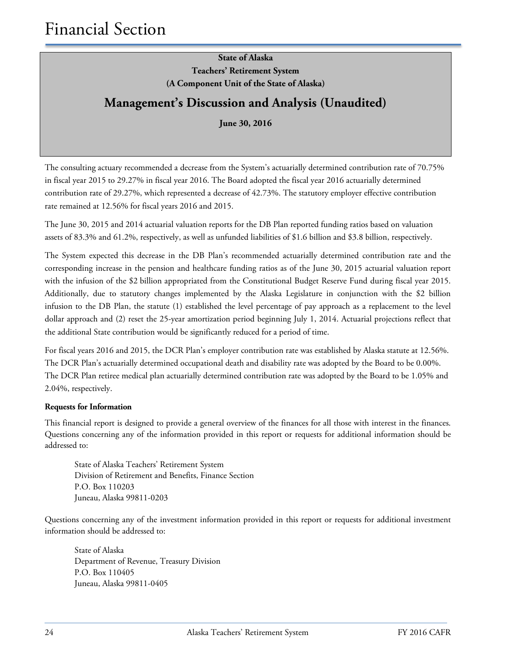# **Management's Discussion and Analysis (Unaudited)**

**June 30, 2016**

The consulting actuary recommended a decrease from the System's actuarially determined contribution rate of 70.75% in fiscal year 2015 to 29.27% in fiscal year 2016. The Board adopted the fiscal year 2016 actuarially determined contribution rate of 29.27%, which represented a decrease of 42.73%. The statutory employer effective contribution rate remained at 12.56% for fiscal years 2016 and 2015.

The June 30, 2015 and 2014 actuarial valuation reports for the DB Plan reported funding ratios based on valuation assets of 83.3% and 61.2%, respectively, as well as unfunded liabilities of \$1.6 billion and \$3.8 billion, respectively.

The System expected this decrease in the DB Plan's recommended actuarially determined contribution rate and the corresponding increase in the pension and healthcare funding ratios as of the June 30, 2015 actuarial valuation report with the infusion of the \$2 billion appropriated from the Constitutional Budget Reserve Fund during fiscal year 2015. Additionally, due to statutory changes implemented by the Alaska Legislature in conjunction with the \$2 billion infusion to the DB Plan, the statute (1) established the level percentage of pay approach as a replacement to the level dollar approach and (2) reset the 25-year amortization period beginning July 1, 2014. Actuarial projections reflect that the additional State contribution would be significantly reduced for a period of time.

For fiscal years 2016 and 2015, the DCR Plan's employer contribution rate was established by Alaska statute at 12.56%. The DCR Plan's actuarially determined occupational death and disability rate was adopted by the Board to be 0.00%. The DCR Plan retiree medical plan actuarially determined contribution rate was adopted by the Board to be 1.05% and 2.04%, respectively.

### **Requests for Information**

This financial report is designed to provide a general overview of the finances for all those with interest in the finances. Questions concerning any of the information provided in this report or requests for additional information should be addressed to:

State of Alaska Teachers' Retirement System Division of Retirement and Benefits, Finance Section P.O. Box 110203 Juneau, Alaska 99811-0203

Questions concerning any of the investment information provided in this report or requests for additional investment information should be addressed to:

State of Alaska Department of Revenue, Treasury Division P.O. Box 110405 Juneau, Alaska 99811-0405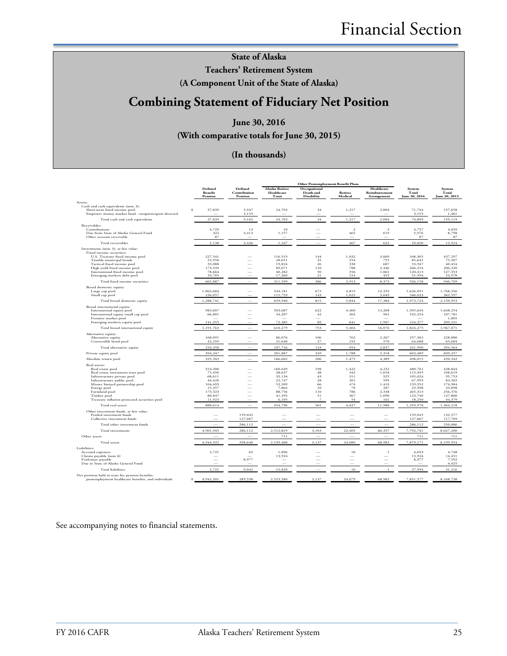**Teachers' Retirement System**

**(A Component Unit of the State of Alaska)**

# **Combining Statement of Fiduciary Net Position**

**June 30, 2016**

**(With comparative totals for June 30, 2015)**

**(In thousands)**

|                                                                                     | Other Postemployment Benefit Plans<br>Defined<br><b>Defined</b><br><b>Alaska Retiree</b> |                                                      |                     |                                         |                    |                                            |                                  |                                  |
|-------------------------------------------------------------------------------------|------------------------------------------------------------------------------------------|------------------------------------------------------|---------------------|-----------------------------------------|--------------------|--------------------------------------------|----------------------------------|----------------------------------|
|                                                                                     | Benefit<br>Pension                                                                       | Contribution<br>Pension                              | Healthcare<br>Trust | Occupational<br>Death and<br>Disability | Retiree<br>Medical | Healthcare<br>Reimbursement<br>Arrangement | System<br>Total<br>June 30, 2016 | System<br>Total<br>June 30, 2015 |
| Assets:                                                                             |                                                                                          |                                                      |                     |                                         |                    |                                            |                                  |                                  |
| Cash and cash equivalents (note 3):                                                 |                                                                                          |                                                      |                     |                                         |                    |                                            |                                  |                                  |
| Short-term fixed income pool<br>Empower money market fund - nonparticipant directed | Ś<br>37,839                                                                              | 5,947<br>3,155                                       | 24,703              | 34                                      | 1,217              | 2,004                                      | 71,744<br>3,155                  | 157,658<br>1,461                 |
|                                                                                     | 37,839                                                                                   | 9,102                                                | 24,703              | 34                                      | 1,217              | 2,004                                      | 74,899                           | 159,119                          |
| Total cash and cash equivalents<br>Receivables:                                     |                                                                                          |                                                      |                     |                                         |                    |                                            |                                  |                                  |
| Contributions                                                                       | 4,729                                                                                    | 13                                                   | 10                  |                                         | $\overline{2}$     | 3                                          | 4,757                            | 4,039                            |
| Due from State of Alaska General Fund                                               | 322                                                                                      | 3,413                                                | 1,157               |                                         | 465                | 619                                        | 5,976                            | 8,798                            |
| Other account receivable                                                            | 87                                                                                       |                                                      |                     |                                         |                    |                                            | 87                               | 87                               |
| Total receivables                                                                   | 5,138                                                                                    | 3,426                                                | 1.167               |                                         | 467                | 622                                        | 10.820                           | 12.924                           |
| Investments (note 3), at fair value:<br>Fixed income securities:                    |                                                                                          |                                                      |                     |                                         |                    |                                            |                                  |                                  |
| U.S. Treasury fixed income pool                                                     | 227.541                                                                                  |                                                      | 116,519             | 144                                     | 1.032              | 3,069                                      | 348,305                          | 437.297                          |
| Taxable municipal bonds                                                             | 55,950                                                                                   | -                                                    | 28,651              | 35                                      | 254                | 755                                        | 85,645                           | 75,307                           |
| Tactical fixed income pool                                                          | 33,088                                                                                   |                                                      | 19,816              | 26                                      | 330                | 687                                        | 53,947                           | 40,454                           |
| High yield fixed income pool<br>International fixed income pool                     | 173,939<br>78,664                                                                        |                                                      | 89,071<br>40,282    | 110<br>50                               | 788<br>356         | 2,346<br>1,061                             | 266,254<br>120,413               | 206,320<br>127,353               |
| Emerging markets debt pool                                                          | 33,705                                                                                   |                                                      | 17,260              | 21                                      | 153                | 455                                        | 51,594                           | 53,978                           |
| Total fixed income securities                                                       | 602,887                                                                                  | $\overline{\phantom{a}}$                             | 311,599             | 386                                     | 2,913              | 8,373                                      | 926,158                          | 940,709                          |
| Broad domestic equity:                                                              |                                                                                          |                                                      |                     |                                         |                    |                                            |                                  |                                  |
| Large cap pool                                                                      | 1,062,684                                                                                |                                                      | 544,181             | 672                                     | 4,819              | 14,335                                     | 1,626,691                        | 1,768,356                        |
| Small cap pool                                                                      | 226,057                                                                                  |                                                      | 115,759             | 143                                     | 1,025              | 3,049                                      | 346,033                          | 382,597                          |
| Total broad domestic equity                                                         | 1,288,741                                                                                |                                                      | 659,940             | 815                                     | 5,844              | 17,384                                     | 1,972,724                        | 2,150,953                        |
| Broad international equity:                                                         |                                                                                          |                                                      |                     |                                         |                    |                                            |                                  |                                  |
| International equity pool                                                           | 983,607                                                                                  |                                                      | 503,687             | 622                                     | 4,460              | 13,268                                     | 1,505,644                        | 1,648,254                        |
| International equity small cap pool<br>Frontier market pool                         | 66,801                                                                                   |                                                      | 34,207              | 42<br>$\overline{\phantom{a}}$          | 303                | 901<br>$\overline{\phantom{a}}$            | 102,254                          | 107,781<br>1,805                 |
| Emerging markets equity pool                                                        | 141,355                                                                                  |                                                      | 72,385              | 89                                      | 641                | 1,907                                      | 216,377                          | 209,231                          |
| Total broad international equity                                                    | 1,191,763                                                                                |                                                      | 610,279             | 753                                     | 5,404              | 16,076                                     | 1,824,275                        | 1,967,071                        |
| Alternative equity:                                                                 |                                                                                          |                                                      |                     |                                         |                    |                                            |                                  |                                  |
| Alternative equity                                                                  | 168,091                                                                                  |                                                      | 86,076              | 106                                     | 762                | 2,267                                      | 257,302                          | 228,880                          |
| Convertible bond pool                                                               | 42,259                                                                                   |                                                      | 21,640              | 27                                      | 192                | 570                                        | 64,688                           | 65,684                           |
| Total alternative equity                                                            | 210,350                                                                                  | $\overline{\phantom{0}}$                             | 107,716             | 133                                     | 954                | 2,837                                      | 321,990                          | 294,564                          |
| Private equity pool                                                                 | 394,247                                                                                  | $\overline{\phantom{a}}$                             | 201,887             | 249                                     | 1,788              | 5,318                                      | 603,489                          | 609,257                          |
| Absolute return pool                                                                | 325,343                                                                                  |                                                      | 166,602             | 206                                     | 1,475              | 4,389                                      | 498,015                          | 450,342                          |
| Real assets:                                                                        |                                                                                          |                                                      |                     |                                         |                    |                                            |                                  |                                  |
| Real estate pool                                                                    | 314,200                                                                                  |                                                      | 160,649             | 198                                     | 1,422              | 4,232                                      | 480,701                          | 438,844                          |
| Real estate investment trust pool<br>Infrastructure private pool                    | 75,450<br>68,611                                                                         | -                                                    | 38,637<br>35,134    | 48<br>43                                | 342<br>311         | 1,018<br>925                               | 115,495<br>105,024               | 108,619<br>95,753                |
| Infrastructure public pool                                                          | 44,420                                                                                   |                                                      | 22,747              | 28                                      | 201                | 599                                        | 67,995                           | 83,565                           |
| Master limited partnership pool                                                     | 104,493                                                                                  |                                                      | 53,509              | 66                                      | 474                | 1,410                                      | 159,952                          | 174,984                          |
| Energy pool<br>Farmland pool                                                        | 15,357<br>173,323                                                                        | $\overline{\phantom{a}}$<br>$\overline{\phantom{a}}$ | 7,864<br>88,756     | 10<br>110                               | 70<br>786          | 207<br>2,338                               | 23,508<br>265,313                | 33,898<br>256,376                |
| Timber pool                                                                         | 80,837                                                                                   |                                                      | 41,395              | 51                                      | 367                | 1,090                                      | 123,740                          | 127,800                          |
| Treasury inflation protected securities pool                                        | 11,923                                                                                   |                                                      | 6,105               | $\overline{7}$                          | 54                 | 161                                        | 18,250                           | 44,379                           |
| Total real assets                                                                   | 888,614                                                                                  |                                                      | 454,796             | 561                                     | 4,027              | 11,980                                     | 1,359,978                        | 1,364,218                        |
| Other investment funds, at fair value:                                              |                                                                                          |                                                      |                     |                                         |                    |                                            |                                  |                                  |
| Pooled investment funds                                                             |                                                                                          | 159,045                                              |                     |                                         |                    |                                            | 159,045                          | 132,377                          |
| Collective investment funds                                                         |                                                                                          | 127,067                                              |                     |                                         |                    | -                                          | 127,067                          | 117,709                          |
| Total other investment funds                                                        | $\overline{\phantom{a}}$                                                                 | 286,112                                              |                     | $\overline{\phantom{0}}$                |                    |                                            | 286,112                          | 250,086                          |
| Total investments                                                                   | 4,901,945                                                                                | 286,112                                              | 2,512,819           | 3,103                                   | 22,405             | 66,357                                     | 7,792,741                        | 8,027,200                        |
| Other assets                                                                        |                                                                                          |                                                      | 711                 |                                         |                    | $\overline{\phantom{a}}$                   | 711                              | 711                              |
| Total assets                                                                        | 4,944,922                                                                                | 298,640                                              | 2,539,400           | 3,137                                   | 24,089             | 68,983                                     | 7,879,171                        | 8,199,954                        |
| Liabilities:                                                                        |                                                                                          |                                                      |                     |                                         |                    |                                            |                                  |                                  |
| Accrued expenses                                                                    | 2,721                                                                                    | 65                                                   | 1,896               |                                         | 10                 | $\mathbf{1}$                               | 4,693                            | 4,748                            |
| Claims payable (note 6)<br>Forfeiture payable                                       | $\overline{\phantom{a}}$                                                                 | 8,977                                                | 13,924              | -                                       | -                  | -                                          | 13,924<br>8,977                  | 14,451<br>7.592                  |
| Due to State of Alaska General Fund                                                 |                                                                                          |                                                      |                     |                                         |                    |                                            |                                  | 4,425                            |
| <b>Total</b> liabilities                                                            | 2,721                                                                                    | 9,042                                                | 15,820              |                                         | $10\,$             | $\,1\,$                                    | 27,594                           | 31,216                           |
| Net position held in trust for pension benefits,                                    |                                                                                          |                                                      |                     |                                         |                    |                                            |                                  |                                  |
| postemployment healthcare benefits, and individuals                                 | 4,942,201<br>s                                                                           | 289,598                                              | 2,523,580           | 3,137                                   | 24,079             | 68,982                                     | 7,851,577                        | 8,168,738                        |

See accompanying notes to financial statements.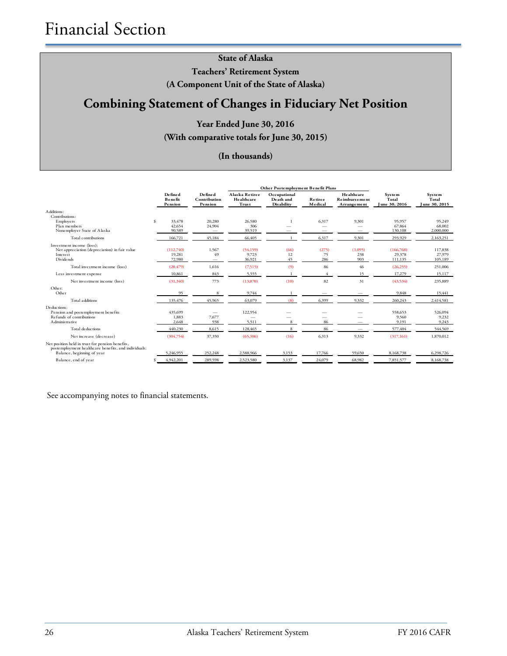**Teachers' Retirement System**

**(A Component Unit of the State of Alaska)**

# **Combining Statement of Changes in Fiduciary Net Position**

**Year Ended June 30, 2016 (With comparative totals for June 30, 2015)**

**(In thousands)**

|                                                                                                                                        | Other Postemployment Benefit Plans |                                             |                                                |                                       |                                                |                    |                                                   |                                 |                                  |
|----------------------------------------------------------------------------------------------------------------------------------------|------------------------------------|---------------------------------------------|------------------------------------------------|---------------------------------------|------------------------------------------------|--------------------|---------------------------------------------------|---------------------------------|----------------------------------|
|                                                                                                                                        |                                    | <b>Defined</b><br><b>Benefit</b><br>Pension | Defined<br>Contribution<br>Pension             | Alaska Retiree<br>Healthcare<br>Trust | Occupational<br>Death and<br><b>Disability</b> | Retiree<br>Medical | Healthcare<br><b>Reimbursement</b><br>Arrangement | System<br>Total<br>une 30, 2016 | System<br>Total<br>June 30, 2015 |
| Additions:<br>Contributions:<br>Employers<br>Plan members<br>Nonemployer State of Alaska                                               | s.                                 | 33,478<br>42,654<br>90,589                  | 20,280<br>24,904                               | 26,580<br>306<br>39,519               |                                                | 6.317              | 9.301                                             | 95,957<br>67,864<br>130,108     | 95.249<br>68,002<br>2,000,000    |
| Total contributions                                                                                                                    |                                    | 166,721                                     | 45,184                                         | 66,405                                |                                                | 6,317              | 9,301                                             | 293,929                         | 2,163,251                        |
| Investment income (loss):<br>Net appreciation (depreciation) in fair value<br>Interest<br>Dividends                                    |                                    | (112,740)<br>19,281<br>72,980               | 1,567<br>49<br>$\hspace{0.1mm}-\hspace{0.1mm}$ | (54, 159)<br>9.723<br>36,921          | (66)<br>12<br>45                               | (275)<br>75<br>286 | (1,095)<br>238<br>903                             | (166,768)<br>29.378<br>111,135  | 117,838<br>27,979<br>105,189     |
| Total investment income (loss)                                                                                                         |                                    | (20, 479)                                   | 1.616                                          | (7,515)                               | (9)                                            | 86                 | 46                                                | (26, 255)                       | 251,006                          |
| Less investment expense                                                                                                                |                                    | 10.861                                      | 843                                            | 5,555                                 |                                                | 4                  | 15                                                | 17,279                          | 15.117                           |
| Net investment income (loss)                                                                                                           |                                    | (31,340)                                    | 773                                            | (13,070)                              | (10)                                           | 82                 | 31                                                | (43,534)                        | 235,889                          |
| Other:<br>Other<br>Total additions                                                                                                     |                                    | 95<br>135,476                               | 8<br>45,965                                    | 9.744<br>63,079                       | (8)                                            | 6,399              | 9,332                                             | 9,848<br>260,243                | 15.441<br>2,414,581              |
| Deductions:                                                                                                                            |                                    |                                             |                                                |                                       |                                                |                    |                                                   |                                 |                                  |
| Pension and postemployment benefits<br>Refunds of contributions<br>A dministrative                                                     |                                    | 435,699<br>1,883<br>2.648                   | 7,677<br>938                                   | 122,954<br>-<br>5.511                 | 8                                              | 86                 |                                                   | 558,653<br>9,560<br>9,191       | 526,094<br>9,232<br>9.243        |
| Total deductions                                                                                                                       |                                    | 440,230                                     | 8,615                                          | 128,465                               | 8                                              | 86                 |                                                   | 577,404                         | 544,569                          |
| Net increase (decrease)                                                                                                                |                                    | (304,754)                                   | 37,350                                         | (65,386)                              | (16)                                           | 6,313              | 9,332                                             | (317,161)                       | 1,870,012                        |
| Net position held in trust for pension benefits,<br>postemployment healthcare benefits, and individuals:<br>Balance, beginning of year |                                    | 5.246.955                                   | 252,248                                        | 2,588,966                             | 3,153                                          | 17.766             | 59,650                                            | 8,168,738                       | 6.298.726                        |
| Balance, end of year                                                                                                                   |                                    | 4,942,201                                   | 289,598                                        | 2,523,580                             | 3,137                                          | 24,079             | 68,982                                            | 7,851,577                       | 8,168,738                        |

See accompanying notes to financial statements.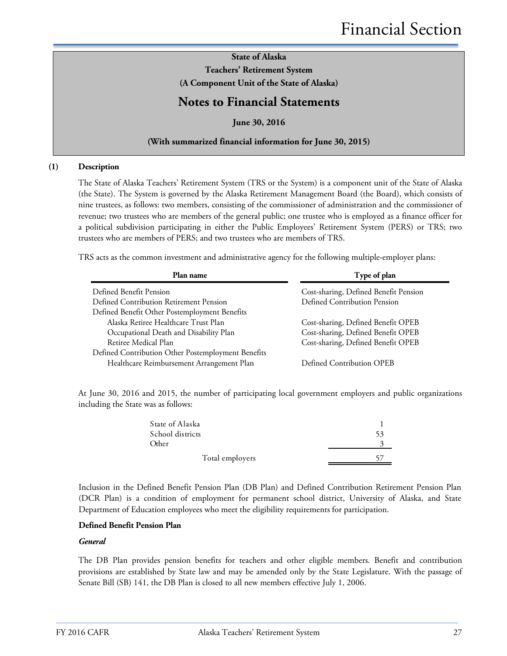**Teachers' Retirement System**

**(A Component Unit of the State of Alaska)**

### **Notes to Financial Statements**

**June 30, 2016**

### **(With summarized financial information for June 30, 2015)**

#### **(1) Description**

The State of Alaska Teachers' Retirement System (TRS or the System) is a component unit of the State of Alaska (the State). The System is governed by the Alaska Retirement Management Board (the Board), which consists of nine trustees, as follows: two members, consisting of the commissioner of administration and the commissioner of revenue; two trustees who are members of the general public; one trustee who is employed as a finance officer for a political subdivision participating in either the Public Employees' Retirement System (PERS) or TRS; two trustees who are members of PERS; and two trustees who are members of TRS.

TRS acts as the common investment and administrative agency for the following multiple-employer plans:

| Plan name                                                                                       | Type of plan                          |
|-------------------------------------------------------------------------------------------------|---------------------------------------|
| Defined Benefit Pension                                                                         | Cost-sharing, Defined Benefit Pension |
| Defined Contribution Retirement Pension                                                         | Defined Contribution Pension          |
| Defined Benefit Other Postemployment Benefits                                                   |                                       |
| Alaska Retiree Healthcare Trust Plan                                                            | Cost-sharing, Defined Benefit OPEB    |
| Occupational Death and Disability Plan                                                          | Cost-sharing, Defined Benefit OPEB    |
| Retiree Medical Plan                                                                            | Cost-sharing, Defined Benefit OPEB    |
| Defined Contribution Other Postemployment Benefits<br>Healthcare Reimbursement Arrangement Plan | Defined Contribution OPEB             |

At June 30, 2016 and 2015, the number of participating local government employers and public organizations including the State was as follows:

| State of Alaska  |    |
|------------------|----|
| School districts | 53 |
| Other            |    |
| Total employers  |    |

Inclusion in the Defined Benefit Pension Plan (DB Plan) and Defined Contribution Retirement Pension Plan (DCR Plan) is a condition of employment for permanent school district, University of Alaska, and State Department of Education employees who meet the eligibility requirements for participation.

#### **Defined Benefit Pension Plan**

### *General*

The DB Plan provides pension benefits for teachers and other eligible members. Benefit and contribution provisions are established by State law and may be amended only by the State Legislature. With the passage of Senate Bill (SB) 141, the DB Plan is closed to all new members effective July 1, 2006.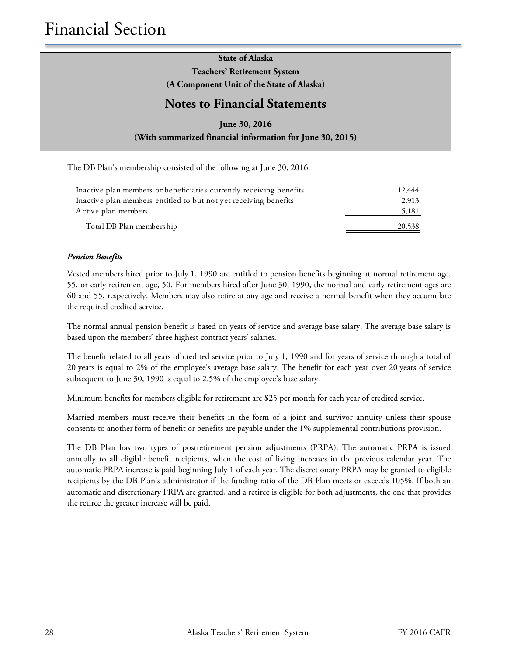### **Notes to Financial Statements**

**June 30, 2016 (With summarized financial information for June 30, 2015)**

The DB Plan's membership consisted of the following at June 30, 2016:

| Inactive plan members or beneficiaries currently receiving benefits | 12,444 |
|---------------------------------------------------------------------|--------|
| Inactive plan members entitled to but not yet receiving benefits    | 2.913  |
| A ctive plan members                                                | 5,181  |
| Total DB Plan members hip                                           | 20,538 |

### *Pension Benefits*

Vested members hired prior to July 1, 1990 are entitled to pension benefits beginning at normal retirement age, 55, or early retirement age, 50. For members hired after June 30, 1990, the normal and early retirement ages are 60 and 55, respectively. Members may also retire at any age and receive a normal benefit when they accumulate the required credited service.

The normal annual pension benefit is based on years of service and average base salary. The average base salary is based upon the members' three highest contract years' salaries.

The benefit related to all years of credited service prior to July 1, 1990 and for years of service through a total of 20 years is equal to 2% of the employee's average base salary. The benefit for each year over 20 years of service subsequent to June 30, 1990 is equal to 2.5% of the employee's base salary.

Minimum benefits for members eligible for retirement are \$25 per month for each year of credited service.

Married members must receive their benefits in the form of a joint and survivor annuity unless their spouse consents to another form of benefit or benefits are payable under the 1% supplemental contributions provision.

The DB Plan has two types of postretirement pension adjustments (PRPA). The automatic PRPA is issued annually to all eligible benefit recipients, when the cost of living increases in the previous calendar year. The automatic PRPA increase is paid beginning July 1 of each year. The discretionary PRPA may be granted to eligible recipients by the DB Plan's administrator if the funding ratio of the DB Plan meets or exceeds 105%. If both an automatic and discretionary PRPA are granted, and a retiree is eligible for both adjustments, the one that provides the retiree the greater increase will be paid.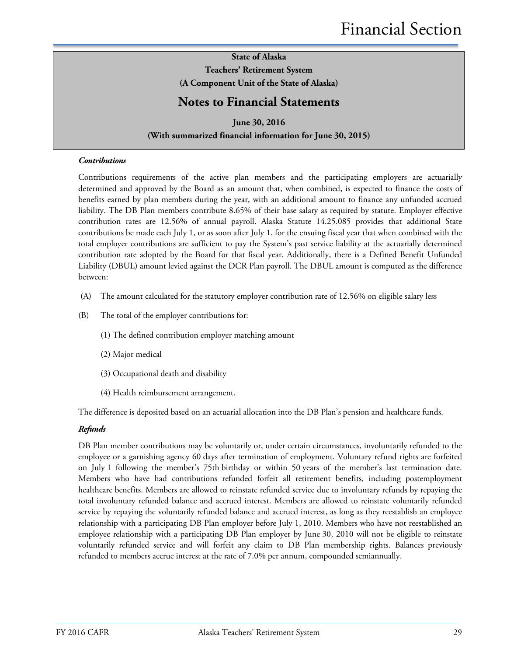### **Notes to Financial Statements**

**June 30, 2016 (With summarized financial information for June 30, 2015)**

#### *Contributions*

Contributions requirements of the active plan members and the participating employers are actuarially determined and approved by the Board as an amount that, when combined, is expected to finance the costs of benefits earned by plan members during the year, with an additional amount to finance any unfunded accrued liability. The DB Plan members contribute 8.65% of their base salary as required by statute. Employer effective contribution rates are 12.56% of annual payroll. Alaska Statute 14.25.085 provides that additional State contributions be made each July 1, or as soon after July 1, for the ensuing fiscal year that when combined with the total employer contributions are sufficient to pay the System's past service liability at the actuarially determined contribution rate adopted by the Board for that fiscal year. Additionally, there is a Defined Benefit Unfunded Liability (DBUL) amount levied against the DCR Plan payroll. The DBUL amount is computed as the difference between:

- (A) The amount calculated for the statutory employer contribution rate of 12.56% on eligible salary less
- (B) The total of the employer contributions for:
	- (1) The defined contribution employer matching amount
	- (2) Major medical
	- (3) Occupational death and disability
	- (4) Health reimbursement arrangement.

The difference is deposited based on an actuarial allocation into the DB Plan's pension and healthcare funds.

### *Refunds*

DB Plan member contributions may be voluntarily or, under certain circumstances, involuntarily refunded to the employee or a garnishing agency 60 days after termination of employment. Voluntary refund rights are forfeited on July 1 following the member's 75th birthday or within 50 years of the member's last termination date. Members who have had contributions refunded forfeit all retirement benefits, including postemployment healthcare benefits. Members are allowed to reinstate refunded service due to involuntary refunds by repaying the total involuntary refunded balance and accrued interest. Members are allowed to reinstate voluntarily refunded service by repaying the voluntarily refunded balance and accrued interest, as long as they reestablish an employee relationship with a participating DB Plan employer before July 1, 2010. Members who have not reestablished an employee relationship with a participating DB Plan employer by June 30, 2010 will not be eligible to reinstate voluntarily refunded service and will forfeit any claim to DB Plan membership rights. Balances previously refunded to members accrue interest at the rate of 7.0% per annum, compounded semiannually.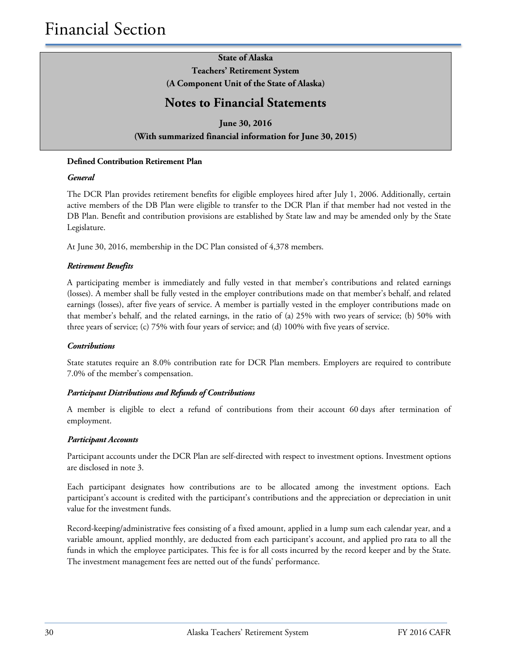## **Notes to Financial Statements**

**June 30, 2016 (With summarized financial information for June 30, 2015)**

### **Defined Contribution Retirement Plan**

#### *General*

The DCR Plan provides retirement benefits for eligible employees hired after July 1, 2006. Additionally, certain active members of the DB Plan were eligible to transfer to the DCR Plan if that member had not vested in the DB Plan. Benefit and contribution provisions are established by State law and may be amended only by the State Legislature.

At June 30, 2016, membership in the DC Plan consisted of 4,378 members.

### *Retirement Benefits*

A participating member is immediately and fully vested in that member's contributions and related earnings (losses). A member shall be fully vested in the employer contributions made on that member's behalf, and related earnings (losses), after five years of service. A member is partially vested in the employer contributions made on that member's behalf, and the related earnings, in the ratio of (a) 25% with two years of service; (b) 50% with three years of service; (c) 75% with four years of service; and (d) 100% with five years of service.

#### *Contributions*

State statutes require an 8.0% contribution rate for DCR Plan members. Employers are required to contribute 7.0% of the member's compensation.

### *Participant Distributions and Refunds of Contributions*

A member is eligible to elect a refund of contributions from their account 60 days after termination of employment.

#### *Participant Accounts*

Participant accounts under the DCR Plan are self-directed with respect to investment options. Investment options are disclosed in note 3.

Each participant designates how contributions are to be allocated among the investment options. Each participant's account is credited with the participant's contributions and the appreciation or depreciation in unit value for the investment funds.

Record-keeping/administrative fees consisting of a fixed amount, applied in a lump sum each calendar year, and a variable amount, applied monthly, are deducted from each participant's account, and applied pro rata to all the funds in which the employee participates. This fee is for all costs incurred by the record keeper and by the State. The investment management fees are netted out of the funds' performance.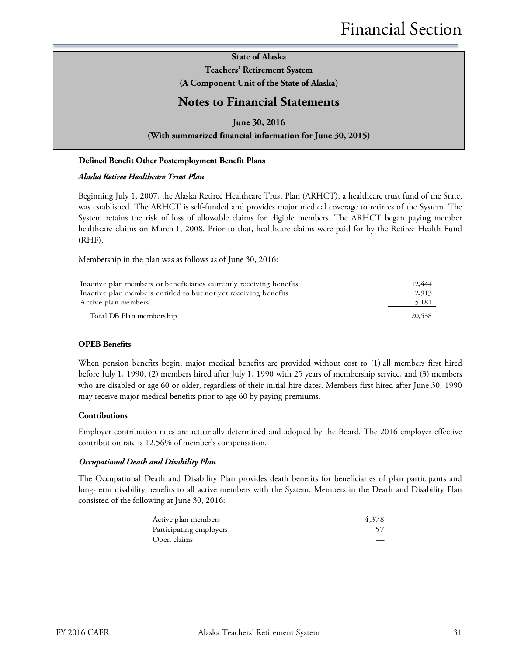**Teachers' Retirement System**

**(A Component Unit of the State of Alaska)**

### **Notes to Financial Statements**

**June 30, 2016**

### **(With summarized financial information for June 30, 2015)**

#### **Defined Benefit Other Postemployment Benefit Plans**

#### *Alaska Retiree Healthcare Trust Plan*

Beginning July 1, 2007, the Alaska Retiree Healthcare Trust Plan (ARHCT), a healthcare trust fund of the State, was established. The ARHCT is self-funded and provides major medical coverage to retirees of the System. The System retains the risk of loss of allowable claims for eligible members. The ARHCT began paying member healthcare claims on March 1, 2008. Prior to that, healthcare claims were paid for by the Retiree Health Fund (RHF).

Membership in the plan was as follows as of June 30, 2016:

| Inactive plan members or beneficiaries currently receiving benefits | 12,444 |
|---------------------------------------------------------------------|--------|
| Inactive plan members entitled to but not yet receiving benefits    | 2.913  |
| A ctive plan members                                                | 5,181  |
| Total DB Plan membership                                            | 20,538 |

#### **OPEB Benefits**

When pension benefits begin, major medical benefits are provided without cost to (1) all members first hired before July 1, 1990, (2) members hired after July 1, 1990 with 25 years of membership service, and (3) members who are disabled or age 60 or older, regardless of their initial hire dates. Members first hired after June 30, 1990 may receive major medical benefits prior to age 60 by paying premiums.

#### **Contributions**

Employer contribution rates are actuarially determined and adopted by the Board. The 2016 employer effective contribution rate is 12.56% of member's compensation.

### *Occupational Death and Disability Plan*

The Occupational Death and Disability Plan provides death benefits for beneficiaries of plan participants and long-term disability benefits to all active members with the System. Members in the Death and Disability Plan consisted of the following at June 30, 2016:

| Active plan members     | 4.378 |
|-------------------------|-------|
| Participating employers |       |
| Open claims             |       |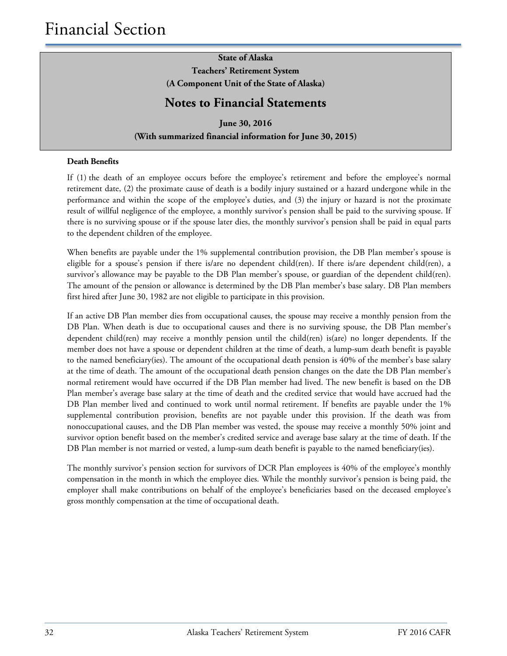## **Notes to Financial Statements**

**June 30, 2016 (With summarized financial information for June 30, 2015)**

### **Death Benefits**

If (1) the death of an employee occurs before the employee's retirement and before the employee's normal retirement date, (2) the proximate cause of death is a bodily injury sustained or a hazard undergone while in the performance and within the scope of the employee's duties, and (3) the injury or hazard is not the proximate result of willful negligence of the employee, a monthly survivor's pension shall be paid to the surviving spouse. If there is no surviving spouse or if the spouse later dies, the monthly survivor's pension shall be paid in equal parts to the dependent children of the employee.

When benefits are payable under the 1% supplemental contribution provision, the DB Plan member's spouse is eligible for a spouse's pension if there is/are no dependent child(ren). If there is/are dependent child(ren), a survivor's allowance may be payable to the DB Plan member's spouse, or guardian of the dependent child(ren). The amount of the pension or allowance is determined by the DB Plan member's base salary. DB Plan members first hired after June 30, 1982 are not eligible to participate in this provision.

If an active DB Plan member dies from occupational causes, the spouse may receive a monthly pension from the DB Plan. When death is due to occupational causes and there is no surviving spouse, the DB Plan member's dependent child(ren) may receive a monthly pension until the child(ren) is(are) no longer dependents. If the member does not have a spouse or dependent children at the time of death, a lump-sum death benefit is payable to the named beneficiary(ies). The amount of the occupational death pension is 40% of the member's base salary at the time of death. The amount of the occupational death pension changes on the date the DB Plan member's normal retirement would have occurred if the DB Plan member had lived. The new benefit is based on the DB Plan member's average base salary at the time of death and the credited service that would have accrued had the DB Plan member lived and continued to work until normal retirement. If benefits are payable under the 1% supplemental contribution provision, benefits are not payable under this provision. If the death was from nonoccupational causes, and the DB Plan member was vested, the spouse may receive a monthly 50% joint and survivor option benefit based on the member's credited service and average base salary at the time of death. If the DB Plan member is not married or vested, a lump-sum death benefit is payable to the named beneficiary(ies).

The monthly survivor's pension section for survivors of DCR Plan employees is 40% of the employee's monthly compensation in the month in which the employee dies. While the monthly survivor's pension is being paid, the employer shall make contributions on behalf of the employee's beneficiaries based on the deceased employee's gross monthly compensation at the time of occupational death.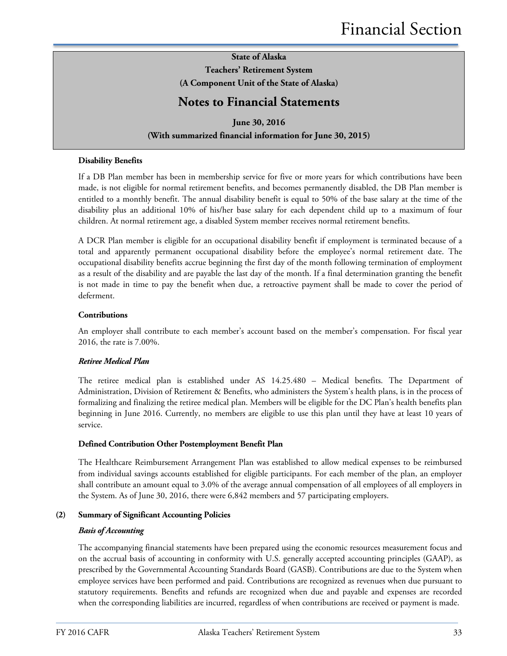### **Notes to Financial Statements**

**June 30, 2016 (With summarized financial information for June 30, 2015)**

#### **Disability Benefits**

If a DB Plan member has been in membership service for five or more years for which contributions have been made, is not eligible for normal retirement benefits, and becomes permanently disabled, the DB Plan member is entitled to a monthly benefit. The annual disability benefit is equal to 50% of the base salary at the time of the disability plus an additional 10% of his/her base salary for each dependent child up to a maximum of four children. At normal retirement age, a disabled System member receives normal retirement benefits.

A DCR Plan member is eligible for an occupational disability benefit if employment is terminated because of a total and apparently permanent occupational disability before the employee's normal retirement date. The occupational disability benefits accrue beginning the first day of the month following termination of employment as a result of the disability and are payable the last day of the month. If a final determination granting the benefit is not made in time to pay the benefit when due, a retroactive payment shall be made to cover the period of deferment.

#### **Contributions**

An employer shall contribute to each member's account based on the member's compensation. For fiscal year 2016, the rate is 7.00%.

### *Retiree Medical Plan*

The retiree medical plan is established under AS 14.25.480 – Medical benefits. The Department of Administration, Division of Retirement & Benefits, who administers the System's health plans, is in the process of formalizing and finalizing the retiree medical plan. Members will be eligible for the DC Plan's health benefits plan beginning in June 2016. Currently, no members are eligible to use this plan until they have at least 10 years of service.

### **Defined Contribution Other Postemployment Benefit Plan**

The Healthcare Reimbursement Arrangement Plan was established to allow medical expenses to be reimbursed from individual savings accounts established for eligible participants. For each member of the plan, an employer shall contribute an amount equal to 3.0% of the average annual compensation of all employees of all employers in the System. As of June 30, 2016, there were 6,842 members and 57 participating employers.

### **(2) Summary of Significant Accounting Policies**

### *Basis of Accounting*

The accompanying financial statements have been prepared using the economic resources measurement focus and on the accrual basis of accounting in conformity with U.S. generally accepted accounting principles (GAAP), as prescribed by the Governmental Accounting Standards Board (GASB). Contributions are due to the System when employee services have been performed and paid. Contributions are recognized as revenues when due pursuant to statutory requirements. Benefits and refunds are recognized when due and payable and expenses are recorded when the corresponding liabilities are incurred, regardless of when contributions are received or payment is made.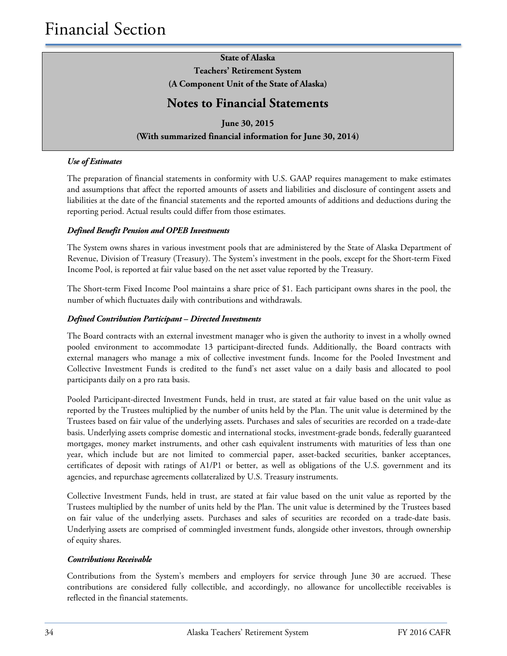# **Notes to Financial Statements**

**June 30, 2015 (With summarized financial information for June 30, 2014)**

### *Use of Estimates*

The preparation of financial statements in conformity with U.S. GAAP requires management to make estimates and assumptions that affect the reported amounts of assets and liabilities and disclosure of contingent assets and liabilities at the date of the financial statements and the reported amounts of additions and deductions during the reporting period. Actual results could differ from those estimates.

### *Defined Benefit Pension and OPEB Investments*

The System owns shares in various investment pools that are administered by the State of Alaska Department of Revenue, Division of Treasury (Treasury). The System's investment in the pools, except for the Short-term Fixed Income Pool, is reported at fair value based on the net asset value reported by the Treasury.

The Short-term Fixed Income Pool maintains a share price of \$1. Each participant owns shares in the pool, the number of which fluctuates daily with contributions and withdrawals.

### *Defined Contribution Participant – Directed Investments*

The Board contracts with an external investment manager who is given the authority to invest in a wholly owned pooled environment to accommodate 13 participant-directed funds. Additionally, the Board contracts with external managers who manage a mix of collective investment funds. Income for the Pooled Investment and Collective Investment Funds is credited to the fund's net asset value on a daily basis and allocated to pool participants daily on a pro rata basis.

Pooled Participant-directed Investment Funds, held in trust, are stated at fair value based on the unit value as reported by the Trustees multiplied by the number of units held by the Plan. The unit value is determined by the Trustees based on fair value of the underlying assets. Purchases and sales of securities are recorded on a trade-date basis. Underlying assets comprise domestic and international stocks, investment-grade bonds, federally guaranteed mortgages, money market instruments, and other cash equivalent instruments with maturities of less than one year, which include but are not limited to commercial paper, asset-backed securities, banker acceptances, certificates of deposit with ratings of A1/P1 or better, as well as obligations of the U.S. government and its agencies, and repurchase agreements collateralized by U.S. Treasury instruments.

Collective Investment Funds, held in trust, are stated at fair value based on the unit value as reported by the Trustees multiplied by the number of units held by the Plan. The unit value is determined by the Trustees based on fair value of the underlying assets. Purchases and sales of securities are recorded on a trade-date basis. Underlying assets are comprised of commingled investment funds, alongside other investors, through ownership of equity shares.

### *Contributions Receivable*

Contributions from the System's members and employers for service through June 30 are accrued. These contributions are considered fully collectible, and accordingly, no allowance for uncollectible receivables is reflected in the financial statements.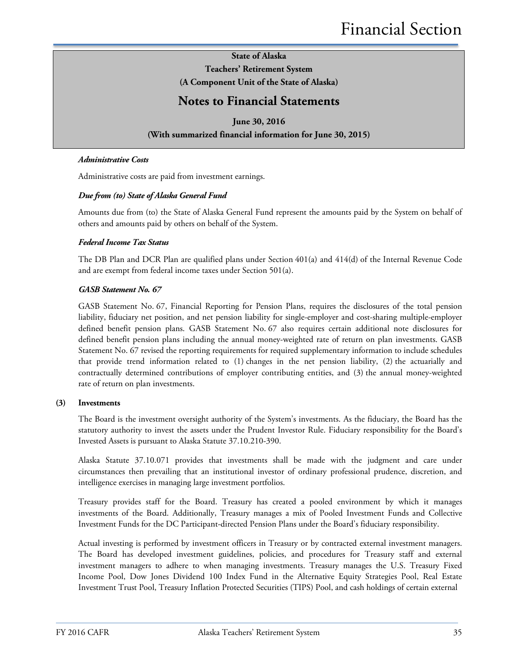**Teachers' Retirement System (A Component Unit of the State of Alaska)**

### **Notes to Financial Statements**

**June 30, 2016 (With summarized financial information for June 30, 2015)**

#### *Administrative Costs*

Administrative costs are paid from investment earnings.

### *Due from (to) State of Alaska General Fund*

Amounts due from (to) the State of Alaska General Fund represent the amounts paid by the System on behalf of others and amounts paid by others on behalf of the System.

### *Federal Income Tax Status*

The DB Plan and DCR Plan are qualified plans under Section 401(a) and 414(d) of the Internal Revenue Code and are exempt from federal income taxes under Section 501(a).

### *GASB Statement No. 67*

GASB Statement No. 67, Financial Reporting for Pension Plans, requires the disclosures of the total pension liability, fiduciary net position, and net pension liability for single-employer and cost-sharing multiple-employer defined benefit pension plans. GASB Statement No. 67 also requires certain additional note disclosures for defined benefit pension plans including the annual money-weighted rate of return on plan investments. GASB Statement No. 67 revised the reporting requirements for required supplementary information to include schedules that provide trend information related to (1) changes in the net pension liability, (2) the actuarially and contractually determined contributions of employer contributing entities, and (3) the annual money-weighted rate of return on plan investments.

#### **(3) Investments**

The Board is the investment oversight authority of the System's investments. As the fiduciary, the Board has the statutory authority to invest the assets under the Prudent Investor Rule. Fiduciary responsibility for the Board's Invested Assets is pursuant to Alaska Statute 37.10.210-390.

Alaska Statute 37.10.071 provides that investments shall be made with the judgment and care under circumstances then prevailing that an institutional investor of ordinary professional prudence, discretion, and intelligence exercises in managing large investment portfolios.

Treasury provides staff for the Board. Treasury has created a pooled environment by which it manages investments of the Board. Additionally, Treasury manages a mix of Pooled Investment Funds and Collective Investment Funds for the DC Participant-directed Pension Plans under the Board's fiduciary responsibility.

Actual investing is performed by investment officers in Treasury or by contracted external investment managers. The Board has developed investment guidelines, policies, and procedures for Treasury staff and external investment managers to adhere to when managing investments. Treasury manages the U.S. Treasury Fixed Income Pool, Dow Jones Dividend 100 Index Fund in the Alternative Equity Strategies Pool, Real Estate Investment Trust Pool, Treasury Inflation Protected Securities (TIPS) Pool, and cash holdings of certain external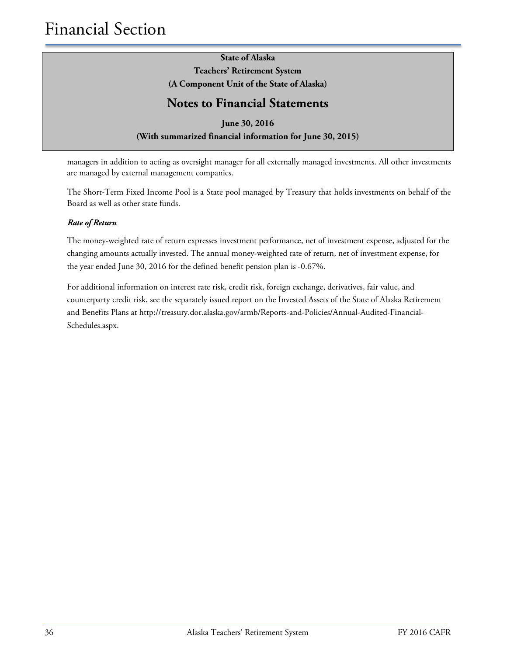# **Notes to Financial Statements**

**June 30, 2016 (With summarized financial information for June 30, 2015)**

managers in addition to acting as oversight manager for all externally managed investments. All other investments are managed by external management companies.

The Short-Term Fixed Income Pool is a State pool managed by Treasury that holds investments on behalf of the Board as well as other state funds.

### *Rate of Return*

The money-weighted rate of return expresses investment performance, net of investment expense, adjusted for the changing amounts actually invested. The annual money-weighted rate of return, net of investment expense, for the year ended June 30, 2016 for the defined benefit pension plan is -0.67%.

For additional information on interest rate risk, credit risk, foreign exchange, derivatives, fair value, and counterparty credit risk, see the separately issued report on the Invested Assets of the State of Alaska Retirement and Benefits Plans at http://treasury.dor.alaska.gov/armb/Reports-and-Policies/Annual-Audited-Financial-Schedules.aspx.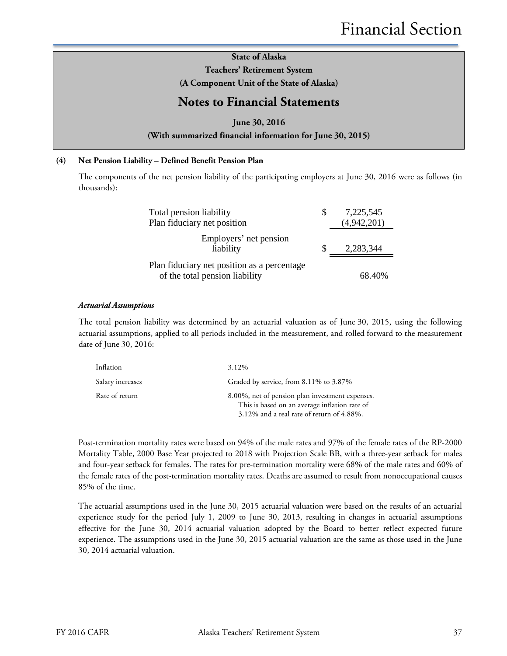**Teachers' Retirement System**

**(A Component Unit of the State of Alaska)**

### **Notes to Financial Statements**

**June 30, 2016**

**(With summarized financial information for June 30, 2015)**

### **(4) Net Pension Liability – Defined Benefit Pension Plan**

The components of the net pension liability of the participating employers at June 30, 2016 were as follows (in thousands):

| Total pension liability<br>Plan fiduciary net position                        | S | 7,225,545<br>(4,942,201) |
|-------------------------------------------------------------------------------|---|--------------------------|
| Employers' net pension<br>liability                                           | S | 2,283,344                |
| Plan fiduciary net position as a percentage<br>of the total pension liability |   | 68.40%                   |

#### *Actuarial Assumptions*

The total pension liability was determined by an actuarial valuation as of June 30, 2015, using the following actuarial assumptions, applied to all periods included in the measurement, and rolled forward to the measurement date of June 30, 2016:

| Inflation        | 3.12%                                                                                                                                         |
|------------------|-----------------------------------------------------------------------------------------------------------------------------------------------|
| Salary increases | Graded by service, from 8.11% to 3.87%                                                                                                        |
| Rate of return   | 8.00%, net of pension plan investment expenses.<br>This is based on an average inflation rate of<br>3.12% and a real rate of return of 4.88%. |

Post-termination mortality rates were based on 94% of the male rates and 97% of the female rates of the RP-2000 Mortality Table, 2000 Base Year projected to 2018 with Projection Scale BB, with a three-year setback for males and four-year setback for females. The rates for pre-termination mortality were 68% of the male rates and 60% of the female rates of the post-termination mortality rates. Deaths are assumed to result from nonoccupational causes 85% of the time.

The actuarial assumptions used in the June 30, 2015 actuarial valuation were based on the results of an actuarial experience study for the period July 1, 2009 to June 30, 2013, resulting in changes in actuarial assumptions effective for the June 30, 2014 actuarial valuation adopted by the Board to better reflect expected future experience. The assumptions used in the June 30, 2015 actuarial valuation are the same as those used in the June 30, 2014 actuarial valuation.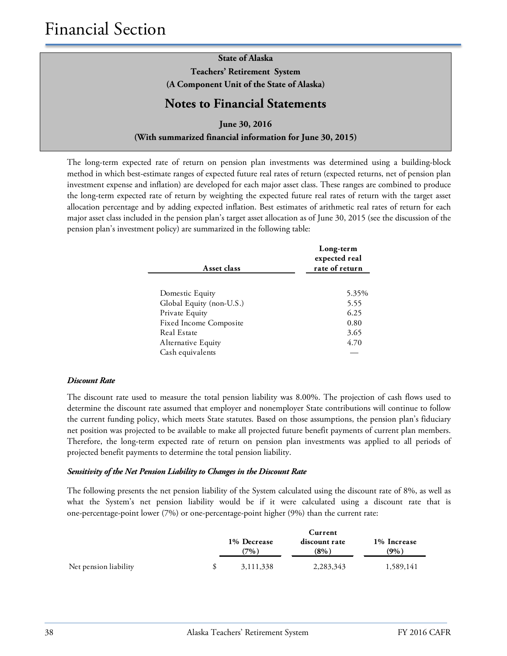# **Notes to Financial Statements**

**June 30, 2016 (With summarized financial information for June 30, 2015)**

The long-term expected rate of return on pension plan investments was determined using a building-block method in which best-estimate ranges of expected future real rates of return (expected returns, net of pension plan investment expense and inflation) are developed for each major asset class. These ranges are combined to produce the long-term expected rate of return by weighting the expected future real rates of return with the target asset allocation percentage and by adding expected inflation. Best estimates of arithmetic real rates of return for each major asset class included in the pension plan's target asset allocation as of June 30, 2015 (see the discussion of the pension plan's investment policy) are summarized in the following table:

| Asset class                   | Long-term<br>expected real<br>rate of return |  |  |
|-------------------------------|----------------------------------------------|--|--|
|                               |                                              |  |  |
| Domestic Equity               | 5.35%                                        |  |  |
| Global Equity (non-U.S.)      | 5.55                                         |  |  |
| Private Equity                | 6.25                                         |  |  |
| <b>Fixed Income Composite</b> | 0.80                                         |  |  |
| Real Estate                   | 3.65                                         |  |  |
| Alternative Equity            | 4.70                                         |  |  |
| Cash equivalents              |                                              |  |  |

### *Discount Rate*

The discount rate used to measure the total pension liability was 8.00%. The projection of cash flows used to determine the discount rate assumed that employer and nonemployer State contributions will continue to follow the current funding policy, which meets State statutes. Based on those assumptions, the pension plan's fiduciary net position was projected to be available to make all projected future benefit payments of current plan members. Therefore, the long-term expected rate of return on pension plan investments was applied to all periods of projected benefit payments to determine the total pension liability.

### *Sensitivity of the Net Pension Liability to Changes in the Discount Rate*

The following presents the net pension liability of the System calculated using the discount rate of 8%, as well as what the System's net pension liability would be if it were calculated using a discount rate that is one-percentage-point lower (7%) or one-percentage-point higher (9%) than the current rate:

|                       | Current               |                       |                        |  |  |
|-----------------------|-----------------------|-----------------------|------------------------|--|--|
|                       | 1% Decrease<br>$'7\%$ | discount rate<br>(8%) | 1% Increase<br>$(9\%)$ |  |  |
| Net pension liability | 3,111,338             | 2,283,343             | 1,589,141              |  |  |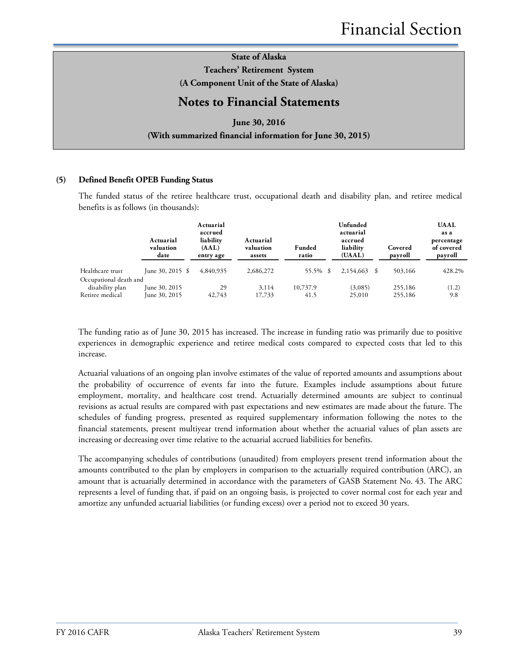**Teachers' Retirement System**

**(A Component Unit of the State of Alaska)**

### **Notes to Financial Statements**

**June 30, 2016**

**(With summarized financial information for June 30, 2015)**

#### **(5) Defined Benefit OPEB Funding Status**

The funded status of the retiree healthcare trust, occupational death and disability plan, and retiree medical benefits is as follows (in thousands):

|                        | Actuarial<br>valuation<br>date | Actuarial<br>accrued<br>liability<br>(AAL)<br>entry age | Actuarial<br>valuation<br>assets | Funded<br>ratio | Unfunded<br>actuarial<br>accrued<br>liability<br>(UAAL) | Covered<br>payroll | <b>UAAL</b><br>as a<br>percentage<br>of covered<br>payroll |
|------------------------|--------------------------------|---------------------------------------------------------|----------------------------------|-----------------|---------------------------------------------------------|--------------------|------------------------------------------------------------|
| Healthcare trust       | June 30, 2015 $$$              | 4,840,935                                               | 2,686,272                        | 55.5% \$        | 2,154,663<br>-8                                         | 503,166            | 428.2%                                                     |
| Occupational death and |                                |                                                         |                                  |                 |                                                         |                    |                                                            |
| disability plan        | June 30, 2015                  | 29                                                      | 3.114                            | 10,737.9        | (3,085)                                                 | 255,186            | (1.2)                                                      |
| Retiree medical        | June 30, 2015                  | 42,743                                                  | 17,733                           | 41.5            | 25,010                                                  | 255,186            | 9.8                                                        |

The funding ratio as of June 30, 2015 has increased. The increase in funding ratio was primarily due to positive experiences in demographic experience and retiree medical costs compared to expected costs that led to this increase.

Actuarial valuations of an ongoing plan involve estimates of the value of reported amounts and assumptions about the probability of occurrence of events far into the future. Examples include assumptions about future employment, mortality, and healthcare cost trend. Actuarially determined amounts are subject to continual revisions as actual results are compared with past expectations and new estimates are made about the future. The schedules of funding progress, presented as required supplementary information following the notes to the financial statements, present multiyear trend information about whether the actuarial values of plan assets are increasing or decreasing over time relative to the actuarial accrued liabilities for benefits.

The accompanying schedules of contributions (unaudited) from employers present trend information about the amounts contributed to the plan by employers in comparison to the actuarially required contribution (ARC), an amount that is actuarially determined in accordance with the parameters of GASB Statement No. 43. The ARC represents a level of funding that, if paid on an ongoing basis, is projected to cover normal cost for each year and amortize any unfunded actuarial liabilities (or funding excess) over a period not to exceed 30 years.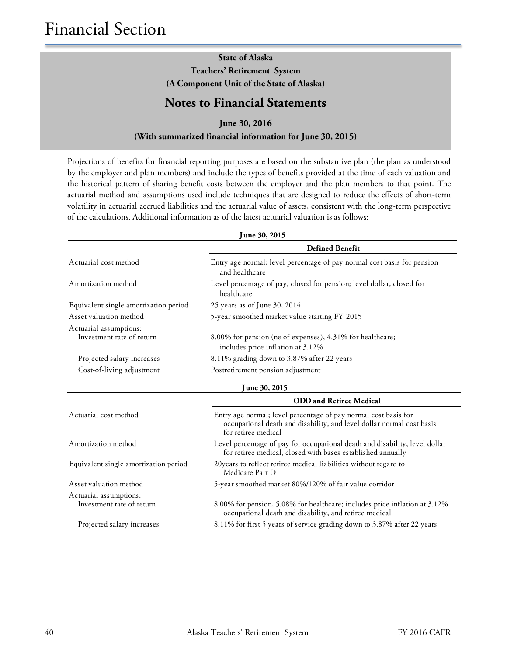## **Notes to Financial Statements**

**June 30, 2016 (With summarized financial information for June 30, 2015)**

Projections of benefits for financial reporting purposes are based on the substantive plan (the plan as understood by the employer and plan members) and include the types of benefits provided at the time of each valuation and the historical pattern of sharing benefit costs between the employer and the plan members to that point. The actuarial method and assumptions used include techniques that are designed to reduce the effects of short-term volatility in actuarial accrued liabilities and the actuarial value of assets, consistent with the long-term perspective of the calculations. Additional information as of the latest actuarial valuation is as follows:

|                                                     | Defined Benefit                                                                                                                                                 |  |  |  |  |  |
|-----------------------------------------------------|-----------------------------------------------------------------------------------------------------------------------------------------------------------------|--|--|--|--|--|
| Actuarial cost method                               | Entry age normal; level percentage of pay normal cost basis for pension<br>and healthcare                                                                       |  |  |  |  |  |
| Amortization method                                 | Level percentage of pay, closed for pension; level dollar, closed for<br>healthcare                                                                             |  |  |  |  |  |
| Equivalent single amortization period               | 25 years as of June 30, 2014                                                                                                                                    |  |  |  |  |  |
| Asset valuation method                              | 5-year smoothed market value starting FY 2015                                                                                                                   |  |  |  |  |  |
| Actuarial assumptions:<br>Investment rate of return | 8.00% for pension (ne of expenses), 4.31% for healthcare;<br>includes price inflation at 3.12%                                                                  |  |  |  |  |  |
| Projected salary increases                          | 8.11% grading down to 3.87% after 22 years                                                                                                                      |  |  |  |  |  |
| Cost-of-living adjustment                           | Postretirement pension adjustment                                                                                                                               |  |  |  |  |  |
|                                                     | June 30, 2015                                                                                                                                                   |  |  |  |  |  |
|                                                     | <b>ODD</b> and Retiree Medical                                                                                                                                  |  |  |  |  |  |
| Actuarial cost method                               | Entry age normal; level percentage of pay normal cost basis for<br>occupational death and disability, and level dollar normal cost basis<br>for retiree medical |  |  |  |  |  |
| Amortization method                                 | Level percentage of pay for occupational death and disability, level dollar<br>for retiree medical, closed with bases established annually                      |  |  |  |  |  |

**June 30, 2015**

Equivalent single amortization period 20years to reflect retiree medical liabilities without regard to

Asset valuation method 5-year smoothed market 80%/120% of fair value corridor

Actuarial assumptions:

| Investment rate of return  | 8.00% for pension, 5.08% for healthcare; includes price inflation at 3.12%<br>occupational death and disability, and retiree medical |
|----------------------------|--------------------------------------------------------------------------------------------------------------------------------------|
| Projected salary increases | 8.11% for first 5 years of service grading down to 3.87% after 22 years                                                              |

Medicare Part D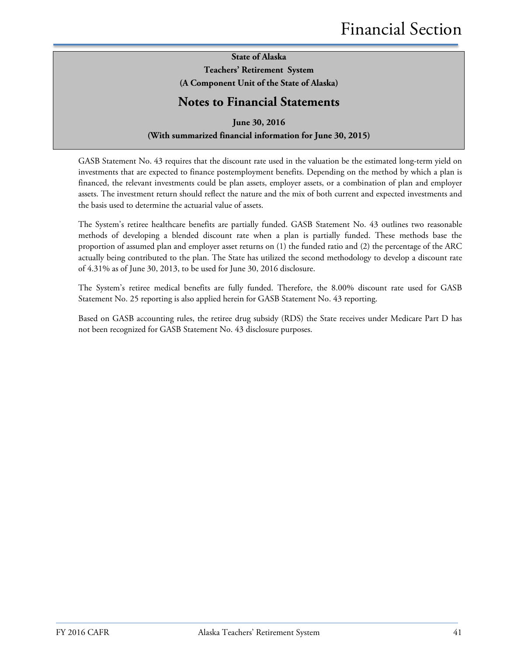## **Notes to Financial Statements**

**June 30, 2016 (With summarized financial information for June 30, 2015)**

GASB Statement No. 43 requires that the discount rate used in the valuation be the estimated long-term yield on investments that are expected to finance postemployment benefits. Depending on the method by which a plan is financed, the relevant investments could be plan assets, employer assets, or a combination of plan and employer assets. The investment return should reflect the nature and the mix of both current and expected investments and the basis used to determine the actuarial value of assets.

The System's retiree healthcare benefits are partially funded. GASB Statement No. 43 outlines two reasonable methods of developing a blended discount rate when a plan is partially funded. These methods base the proportion of assumed plan and employer asset returns on (1) the funded ratio and (2) the percentage of the ARC actually being contributed to the plan. The State has utilized the second methodology to develop a discount rate of 4.31% as of June 30, 2013, to be used for June 30, 2016 disclosure.

The System's retiree medical benefits are fully funded. Therefore, the 8.00% discount rate used for GASB Statement No. 25 reporting is also applied herein for GASB Statement No. 43 reporting.

Based on GASB accounting rules, the retiree drug subsidy (RDS) the State receives under Medicare Part D has not been recognized for GASB Statement No. 43 disclosure purposes.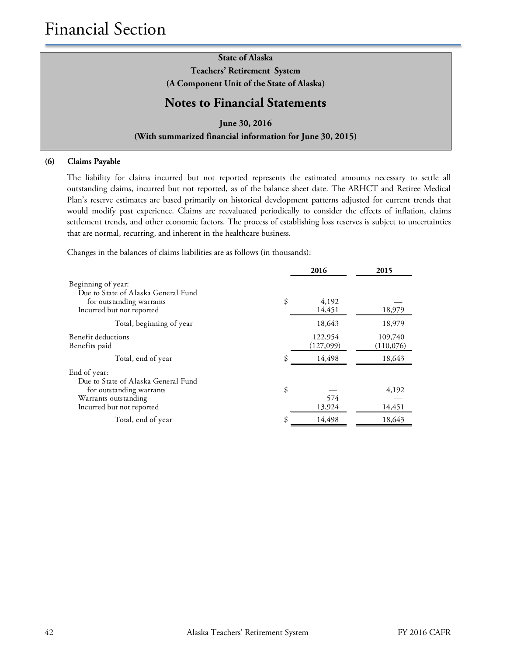### **Notes to Financial Statements**

**June 30, 2016 (With summarized financial information for June 30, 2015)**

#### **(6) Claims Payable**

The liability for claims incurred but not reported represents the estimated amounts necessary to settle all outstanding claims, incurred but not reported, as of the balance sheet date. The ARHCT and Retiree Medical Plan's reserve estimates are based primarily on historical development patterns adjusted for current trends that would modify past experience. Claims are reevaluated periodically to consider the effects of inflation, claims settlement trends, and other economic factors. The process of establishing loss reserves is subject to uncertainties that are normal, recurring, and inherent in the healthcare business.

Changes in the balances of claims liabilities are as follows (in thousands):

|                                                                                                                                      | 2016                  | 2015                 |
|--------------------------------------------------------------------------------------------------------------------------------------|-----------------------|----------------------|
| Beginning of year:<br>Due to State of Alaska General Fund<br>for outstanding warrants<br>Incurred but not reported                   | \$<br>4,192<br>14,451 | 18,979               |
| Total, beginning of year                                                                                                             | 18,643                | 18,979               |
| Benefit deductions<br>Benefits paid                                                                                                  | 122,954<br>(127,099)  | 109,740<br>(110,076) |
| Total, end of year                                                                                                                   | 14,498                | 18,643               |
| End of year:<br>Due to State of Alaska General Fund<br>for outstanding warrants<br>Warrants outstanding<br>Incurred but not reported | \$<br>574<br>13,924   | 4,192<br>14,451      |
| Total, end of year                                                                                                                   | \$<br>14,498          | 18,643               |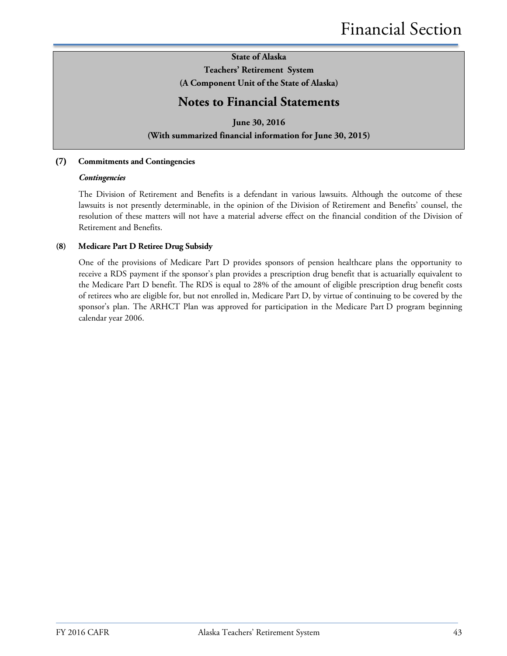**Teachers' Retirement System**

**(A Component Unit of the State of Alaska)**

### **Notes to Financial Statements**

**June 30, 2016 (With summarized financial information for June 30, 2015)**

### **(7) Commitments and Contingencies**

#### *Contingencies*

The Division of Retirement and Benefits is a defendant in various lawsuits. Although the outcome of these lawsuits is not presently determinable, in the opinion of the Division of Retirement and Benefits' counsel, the resolution of these matters will not have a material adverse effect on the financial condition of the Division of Retirement and Benefits.

### **(8) Medicare Part D Retiree Drug Subsidy**

One of the provisions of Medicare Part D provides sponsors of pension healthcare plans the opportunity to receive a RDS payment if the sponsor's plan provides a prescription drug benefit that is actuarially equivalent to the Medicare Part D benefit. The RDS is equal to 28% of the amount of eligible prescription drug benefit costs of retirees who are eligible for, but not enrolled in, Medicare Part D, by virtue of continuing to be covered by the sponsor's plan. The ARHCT Plan was approved for participation in the Medicare Part D program beginning calendar year 2006.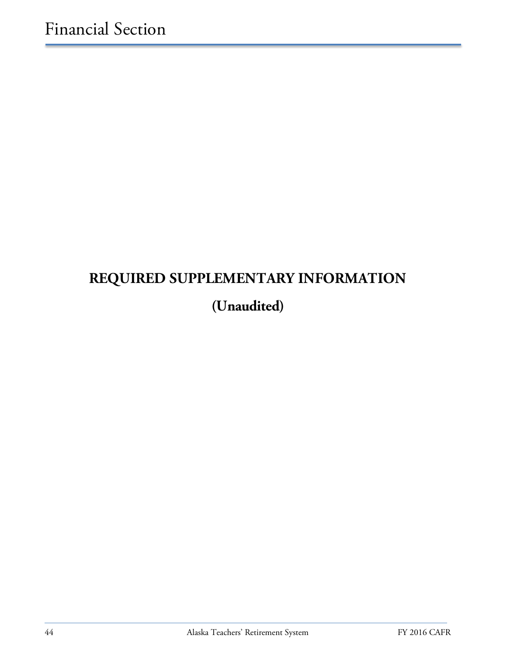# **REQUIRED SUPPLEMENTARY INFORMATION (Unaudited)**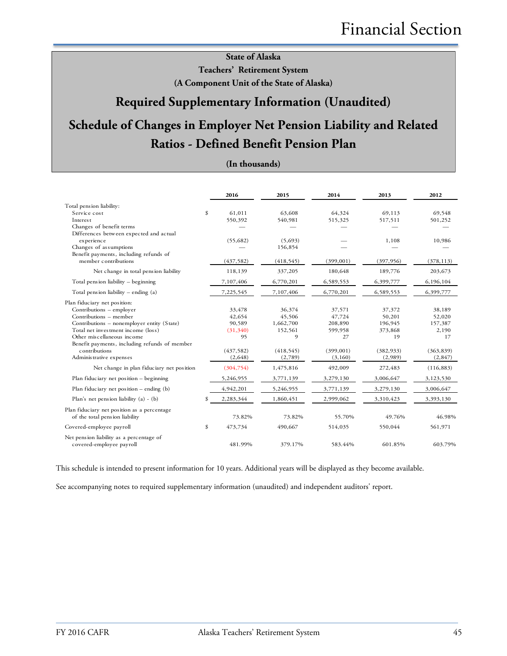# **Required Supplementary Information (Unaudited)**

# **Schedule of Changes in Employer Net Pension Liability and Related Ratios - Defined Benefit Pension Plan**

#### **(In thousands)**

|                                               | 2016          | 2015       | 2014      | 2013       | 2012       |
|-----------------------------------------------|---------------|------------|-----------|------------|------------|
| Total pension liability:                      |               |            |           |            |            |
| Service cost                                  | \$<br>61,011  | 63,608     | 64,324    | 69,113     | 69,548     |
| Interest                                      | 550,392       | 540,981    | 515,325   | 517,511    | 501,252    |
| Changes of benefit terms                      |               |            |           |            |            |
| Differences between expected and actual       |               |            |           |            |            |
| experience                                    | (55,682)      | (5,693)    |           | 1,108      | 10,986     |
| Changes of assumptions                        |               | 156,854    |           |            |            |
| Benefit payments, including refunds of        |               |            |           |            |            |
| member contributions                          | (437, 582)    | (418, 545) | (399,001) | (397, 956) | (378, 113) |
| Net change in total pension liability         | 118,139       | 337,205    | 180,648   | 189,776    | 203,673    |
| Total pension liability - beginning           | 7,107,406     | 6,770,201  | 6,589,553 | 6,399,777  | 6,196,104  |
| Total pension liability - ending (a)          | 7,225,545     | 7,107,406  | 6,770,201 | 6,589,553  | 6,399,777  |
| Plan fiduciary net position:                  |               |            |           |            |            |
| Contributions - employer                      | 33,478        | 36,374     | 37,571    | 37,372     | 38,189     |
| Contributions - member                        | 42,654        | 45,506     | 47,724    | 50,201     | 52,020     |
| Contributions - nonemployer entity (State)    | 90,589        | 1,662,700  | 208,890   | 196,945    | 157,387    |
| Total net investment income (loss)            | (31,340)      | 152,561    | 599,958   | 373,868    | 2,190      |
| Other miscellaneous income                    | 95            | 9          | 27        | 19         | 17         |
| Benefit payments, including refunds of member |               |            |           |            |            |
| contributions                                 | (437, 582)    | (418, 545) | (399,001) | (382, 933) | (363, 839) |
| Administrative expenses                       | (2,648)       | (2,789)    | (3,160)   | (2,989)    | (2,847)    |
| Net change in plan fiduciary net position     | (304,754)     | 1,475,816  | 492,009   | 272,483    | (116, 883) |
| Plan fiduciary net position - beginning       | 5,246,955     | 3,771,139  | 3,279,130 | 3,006,647  | 3,123,530  |
| Plan fiduciary net position – ending (b)      | 4,942,201     | 5,246,955  | 3,771,139 | 3,279,130  | 3,006,647  |
| Plan's net pension liability $(a) - (b)$      | 2,283,344     | 1,860,451  | 2,999,062 | 3,310,423  | 3,393,130  |
| Plan fiduciary net position as a percentage   |               |            |           |            |            |
| of the total pension liability                | 73.82%        | 73.82%     | 55.70%    | 49.76%     | 46.98%     |
| Covered-employee payroll                      | \$<br>473,734 | 490,667    | 514,035   | 550,044    | 561,971    |
| Net pension liability as a percentage of      |               |            |           |            |            |
| covered-employee payroll                      | 481.99%       | 379.17%    | 583.44%   | 601.85%    | 603.79%    |
|                                               |               |            |           |            |            |

This schedule is intended to present information for 10 years. Additional years will be displayed as they become available.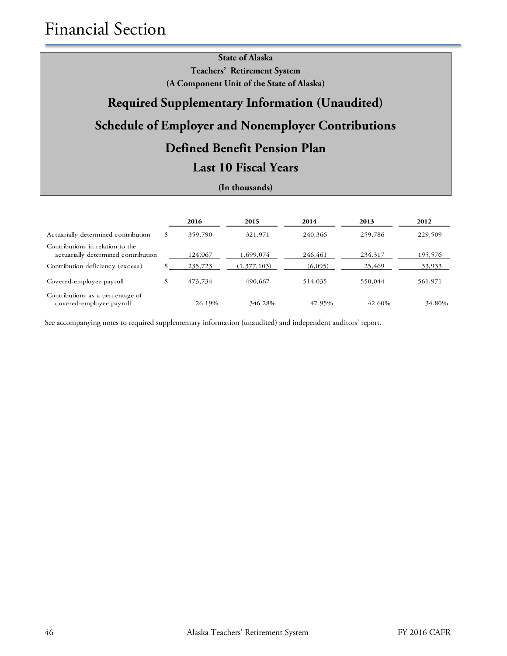# **Required Supplementary Information (Unaudited) Schedule of Employer and Nonemployer Contributions Defined Benefit Pension Plan**

# **Last 10 Fiscal Years (In thousands)**

|                                                                         |    | 2016    | 2015        | 2014    | 2013    | 2012    |  |
|-------------------------------------------------------------------------|----|---------|-------------|---------|---------|---------|--|
| Actuarially determined contribution                                     | \$ | 359,790 | 321,971     | 240,366 | 259,786 | 229,509 |  |
| Contributions in relation to the<br>actuarially determined contribution |    | 124,067 | 1,699,074   | 246,461 | 234,317 | 195,576 |  |
| Contribution deficiency (excess)                                        |    | 235,723 | (1,377,103) | (6,095) | 25,469  | 33,933  |  |
| Covered-employee payroll                                                | \$ | 473,734 | 490,667     | 514,035 | 550,044 | 561,971 |  |
| Contributions as a percentage of<br>covered-employee payroll            |    | 26.19%  | 346.28%     | 47.95%  | 42.60%  | 34.80%  |  |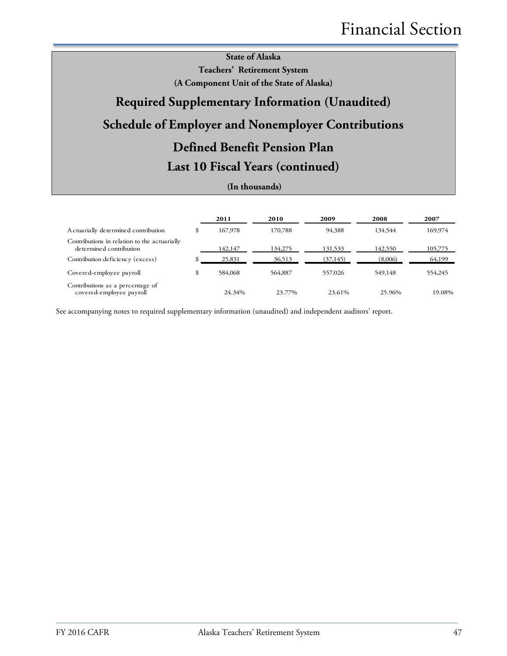# **Required Supplementary Information (Unaudited) Schedule of Employer and Nonemployer Contributions Defined Benefit Pension Plan Last 10 Fiscal Years (continued)**

|  | (In thousands) |  |
|--|----------------|--|
|--|----------------|--|

|                                                                         | 2011    | 2010    | 2009      | 2008    | 2007    |
|-------------------------------------------------------------------------|---------|---------|-----------|---------|---------|
| A ctuarially determined contribution                                    | 167,978 | 170,788 | 94,388    | 134,544 | 169,974 |
| Contributions in relation to the actuarially<br>determined contribution | 142,147 | 134,275 | 131,533   | 142,550 | 105,775 |
| Contribution deficiency (excess)                                        | 25,831  | 36,513  | (37, 145) | (8,006) | 64,199  |
| Covered-employee payroll                                                | 584,068 | 564,887 | 557,026   | 549,148 | 554,245 |
| Contributions as a percentage of<br>covered-employee payroll            | 24.34%  | 23.77%  | 23.61%    | 25.96%  | 19.08%  |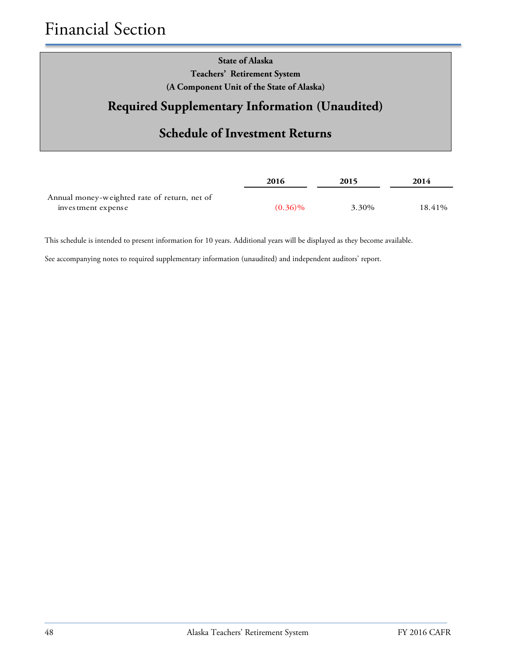# **Required Supplementary Information (Unaudited)**

# **Schedule of Investment Returns**

|                                              | 2016       | 2015  | 2014   |
|----------------------------------------------|------------|-------|--------|
| Annual money-weighted rate of return, net of |            |       |        |
| investment expense                           | $(0.36)\%$ | 3.30% | 18.41% |

This schedule is intended to present information for 10 years. Additional years will be displayed as they become available.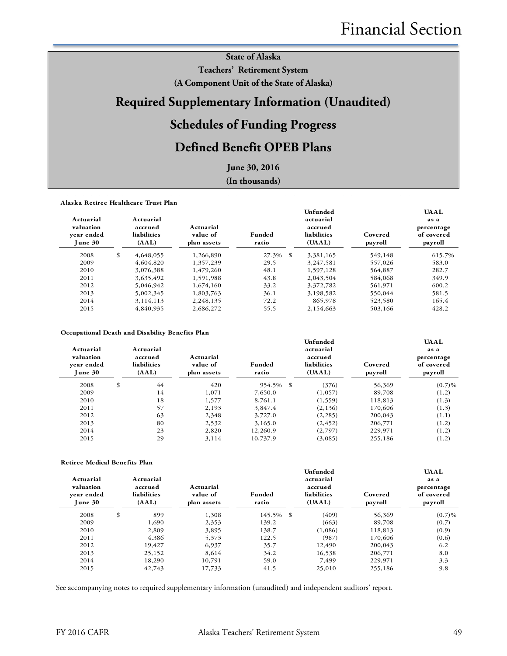# **Required Supplementary Information (Unaudited)**

# **Schedules of Funding Progress**

# **Defined Benefit OPEB Plans**

**June 30, 2016 (In thousands)**

**Alaska Retiree Healthcare Trust Plan**

| Actuarial<br>valuation<br>vear ended<br>June 30 | Actuarial<br>accrued<br>liabilities<br>(AAL) | Actuarial<br>value of<br>plan assets | Funded<br>ratio | Unfunded<br>actuarial<br>accrued<br>liabilities<br>(UAAL) | Covered<br>payroll | <b>UAAL</b><br>as a<br>percentage<br>of covered<br>payroll |
|-------------------------------------------------|----------------------------------------------|--------------------------------------|-----------------|-----------------------------------------------------------|--------------------|------------------------------------------------------------|
| 2008                                            | \$<br>4,648,055                              | 1,266,890                            | \$<br>27.3%     | 3,381,165                                                 | 549,148            | 615.7%                                                     |
| 2009                                            | 4,604,820                                    | 1,357,239                            | 29.5            | 3,247,581                                                 | 557,026            | 583.0                                                      |
| 2010                                            | 3,076,388                                    | 1,479,260                            | 48.1            | 1,597,128                                                 | 564,887            | 282.7                                                      |
| 2011                                            | 3,635,492                                    | 1,591,988                            | 43.8            | 2,043,504                                                 | 584,068            | 349.9                                                      |
| 2012                                            | 5,046,942                                    | 1,674,160                            | 33.2            | 3,372,782                                                 | 561,971            | 600.2                                                      |
| 2013                                            | 5,002,345                                    | 1,803,763                            | 36.1            | 3,198,582                                                 | 550,044            | 581.5                                                      |
| 2014                                            | 3, 114, 113                                  | 2.248,135                            | 72.2            | 865,978                                                   | 523,580            | 165.4                                                      |
| 2015                                            | 4,840,935                                    | 2,686,272                            | 55.5            | 2,154,663                                                 | 503,166            | 428.2                                                      |

#### **Occupational Death and Disability Benefits Plan**

| Actuarial<br>valuation<br>vear ended<br>June 30 | Actuarial<br>accrued<br>liabilities<br>(AAL) | Actuarial<br>value of<br>plan assets | Funded<br>ratio | Unfunded<br>actuarial<br>accrued<br>liabilities<br>(UAAL) | Covered<br>payroll | <b>UAAL</b><br>as a<br>percentage<br>of covered<br>payroll |
|-------------------------------------------------|----------------------------------------------|--------------------------------------|-----------------|-----------------------------------------------------------|--------------------|------------------------------------------------------------|
| 2008                                            | \$<br>44                                     | 420                                  | 954.5%<br>\$    | (376)                                                     | 56,369             | (0.7)%                                                     |
| 2009                                            | 14                                           | 1,071                                | 7,650.0         | (1,057)                                                   | 89,708             | (1.2)                                                      |
| 2010                                            | 18                                           | 1,577                                | 8,761.1         | (1, 559)                                                  | 118,813            | (1.3)                                                      |
| 2011                                            | 57                                           | 2,193                                | 3.847.4         | (2, 136)                                                  | 170,606            | (1.3)                                                      |
| 2012                                            | 63                                           | 2,348                                | 3,727.0         | (2,285)                                                   | 200,043            | (1.1)                                                      |
| 2013                                            | 80                                           | 2,532                                | 3,165.0         | (2, 452)                                                  | 206,771            | (1.2)                                                      |
| 2014                                            | 23                                           | 2,820                                | 12,260.9        | (2,797)                                                   | 229,971            | (1.2)                                                      |
| 2015                                            | 29                                           | 3,114                                | 10,737.9        | (3,085)                                                   | 255,186            | (1.2)                                                      |

#### **Retiree Medical Benefits Plan**

| Actuarial<br>valuation<br>year ended<br>June 30 | Actuarial<br>accrued<br>liabilities<br>(AAL) | Actuarial<br>value of<br>plan assets | Funded<br>ratio | Unfunded<br>actuarial<br>accrued<br>liabilities<br>(UAAL) | Covered<br>payroll | <b>UAAL</b><br>as a<br>percentage<br>of covered<br>payroll |
|-------------------------------------------------|----------------------------------------------|--------------------------------------|-----------------|-----------------------------------------------------------|--------------------|------------------------------------------------------------|
| 2008                                            | \$<br>899                                    | 1,308                                | 145.5%<br>\$    | (409)                                                     | 56,369             | (0.7)%                                                     |
| 2009                                            | 1,690                                        | 2,353                                | 139.2           | (663)                                                     | 89,708             | (0.7)                                                      |
| 2010                                            | 2,809                                        | 3,895                                | 138.7           | (1,086)                                                   | 118,813            | (0.9)                                                      |
| 2011                                            | 4,386                                        | 5,373                                | 122.5           | (987)                                                     | 170,606            | (0.6)                                                      |
| 2012                                            | 19,427                                       | 6.937                                | 35.7            | 12,490                                                    | 200,043            | 6.2                                                        |
| 2013                                            | 25,152                                       | 8.614                                | 34.2            | 16,538                                                    | 206,771            | 8.0                                                        |
| 2014                                            | 18,290                                       | 10,791                               | 59.0            | 7.499                                                     | 229,971            | 3.3                                                        |
| 2015                                            | 42,743                                       | 17,733                               | 41.5            | 25,010                                                    | 255,186            | 9.8                                                        |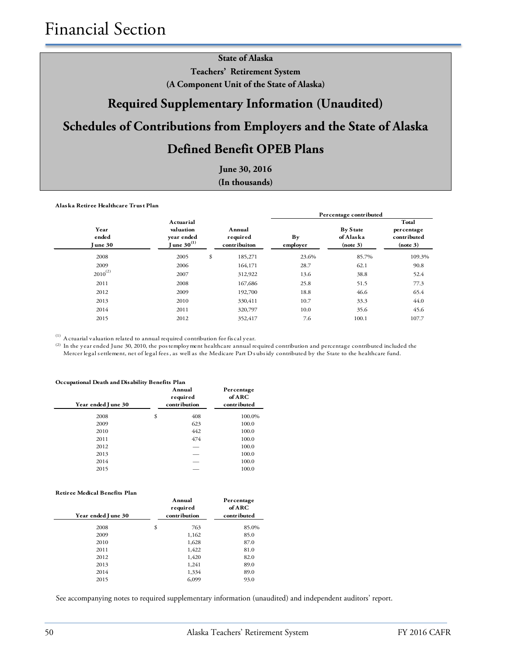# **Required Supplementary Information (Unaudited) Schedules of Contributions from Employers and the State of Alaska**

# **Defined Benefit OPEB Plans**

**June 30, 2016 (In thousands)**

**Alaska Retiree Healthcare Trust Plan**

|                           |                                                          |                                    |                | Percentage contributed            |                                                |
|---------------------------|----------------------------------------------------------|------------------------------------|----------------|-----------------------------------|------------------------------------------------|
| Year<br>ended<br>I une 30 | Actuarial<br>valuation<br>vear ended<br>J une $30^{(1)}$ | Annual<br>required<br>contribuiton | By<br>employer | By State<br>of Alaska<br>(note 3) | Total<br>percentage<br>contributed<br>(note 3) |
| 2008                      | 2005                                                     | \$<br>185,271                      | 23.6%          | 85.7%                             | 109.3%                                         |
| 2009                      | 2006                                                     | 164,171                            | 28.7           | 62.1                              | 90.8                                           |
| $2010^{(2)}$              | 2007                                                     | 312,922                            | 13.6           | 38.8                              | 52.4                                           |
| 2011                      | 2008                                                     | 167,686                            | 25.8           | 51.5                              | 77.3                                           |
| 2012                      | 2009                                                     | 192,700                            | 18.8           | 46.6                              | 65.4                                           |
| 2013                      | 2010                                                     | 330,411                            | 10.7           | 33.3                              | 44.0                                           |
| 2014                      | 2011                                                     | 320,797                            | 10.0           | 35.6                              | 45.6                                           |
| 2015                      | 2012                                                     | 352,417                            | 7.6            | 100.1                             | 107.7                                          |

 $^{\left(1\right)}$  A ctuarial valuation related to annual required contribution for fis cal year.

 $^{(2)}$  In the year ended June 30, 2010, the postemployment healthcare annual required contribution and percentage contributed included the Mercer legal s ettlement, net of legal fees , as well as the Medicare Part D s ubs idy contributed by the State to the healthcare fund.

#### **Occupational Death and Disability Benefits Plan**

| Year ended J une 30 | Annual<br>required<br>contribution | Percentage<br>of ARC<br>contributed |
|---------------------|------------------------------------|-------------------------------------|
| 2008                | \$<br>408                          | 100.0%                              |
| 2009                | 623                                | 100.0                               |
| 2010                | 442                                | 100.0                               |
| 2011                | 474                                | 100.0                               |
| 2012                |                                    | 100.0                               |
| 2013                |                                    | 100.0                               |
| 2014                |                                    | 100.0                               |
| 2015                |                                    | 100.0                               |
|                     |                                    |                                     |

#### **Retiree Medical Benefits Plan**

| Year ended J une 30 | Annual<br>required<br>contribution | Percentage<br>of ARC<br>contributed |
|---------------------|------------------------------------|-------------------------------------|
| 2008                | \$<br>763                          | 85.0%                               |
| 2009                | 1,162                              | 85.0                                |
| 2010                | 1,628                              | 87.0                                |
| 2011                | 1,422                              | 81.0                                |
| 2012                | 1,420                              | 82.0                                |
| 2013                | 1,241                              | 89.0                                |
| 2014                | 1,334                              | 89.0                                |
| 2015                | 6,099                              | 93.0                                |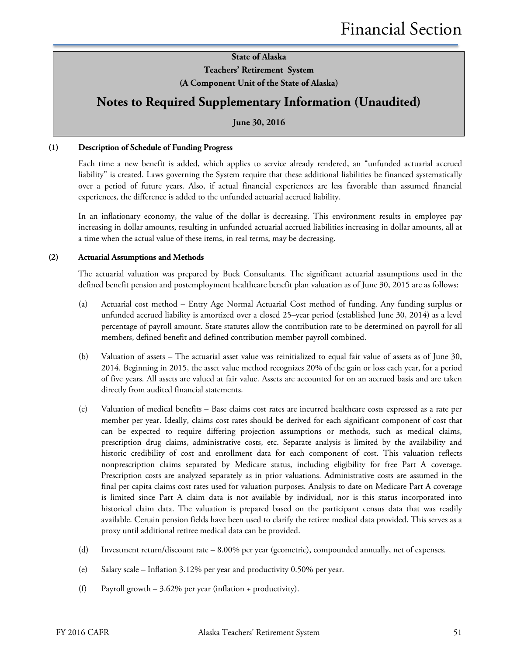# **Notes to Required Supplementary Information (Unaudited)**

### **June 30, 2016**

#### **(1) Description of Schedule of Funding Progress**

Each time a new benefit is added, which applies to service already rendered, an "unfunded actuarial accrued liability" is created. Laws governing the System require that these additional liabilities be financed systematically over a period of future years. Also, if actual financial experiences are less favorable than assumed financial experiences, the difference is added to the unfunded actuarial accrued liability.

In an inflationary economy, the value of the dollar is decreasing. This environment results in employee pay increasing in dollar amounts, resulting in unfunded actuarial accrued liabilities increasing in dollar amounts, all at a time when the actual value of these items, in real terms, may be decreasing.

#### **(2) Actuarial Assumptions and Methods**

The actuarial valuation was prepared by Buck Consultants. The significant actuarial assumptions used in the defined benefit pension and postemployment healthcare benefit plan valuation as of June 30, 2015 are as follows:

- (a) Actuarial cost method Entry Age Normal Actuarial Cost method of funding. Any funding surplus or unfunded accrued liability is amortized over a closed 25–year period (established June 30, 2014) as a level percentage of payroll amount. State statutes allow the contribution rate to be determined on payroll for all members, defined benefit and defined contribution member payroll combined.
- (b) Valuation of assets The actuarial asset value was reinitialized to equal fair value of assets as of June 30, 2014. Beginning in 2015, the asset value method recognizes 20% of the gain or loss each year, for a period of five years. All assets are valued at fair value. Assets are accounted for on an accrued basis and are taken directly from audited financial statements.
- (c) Valuation of medical benefits Base claims cost rates are incurred healthcare costs expressed as a rate per member per year. Ideally, claims cost rates should be derived for each significant component of cost that can be expected to require differing projection assumptions or methods, such as medical claims, prescription drug claims, administrative costs, etc. Separate analysis is limited by the availability and historic credibility of cost and enrollment data for each component of cost. This valuation reflects nonprescription claims separated by Medicare status, including eligibility for free Part A coverage. Prescription costs are analyzed separately as in prior valuations. Administrative costs are assumed in the final per capita claims cost rates used for valuation purposes. Analysis to date on Medicare Part A coverage is limited since Part A claim data is not available by individual, nor is this status incorporated into historical claim data. The valuation is prepared based on the participant census data that was readily available. Certain pension fields have been used to clarify the retiree medical data provided. This serves as a proxy until additional retiree medical data can be provided.
- (d) Investment return/discount rate 8.00% per year (geometric), compounded annually, net of expenses.
- (e) Salary scale Inflation 3.12% per year and productivity 0.50% per year.
- (f) Payroll growth  $-3.62\%$  per year (inflation + productivity).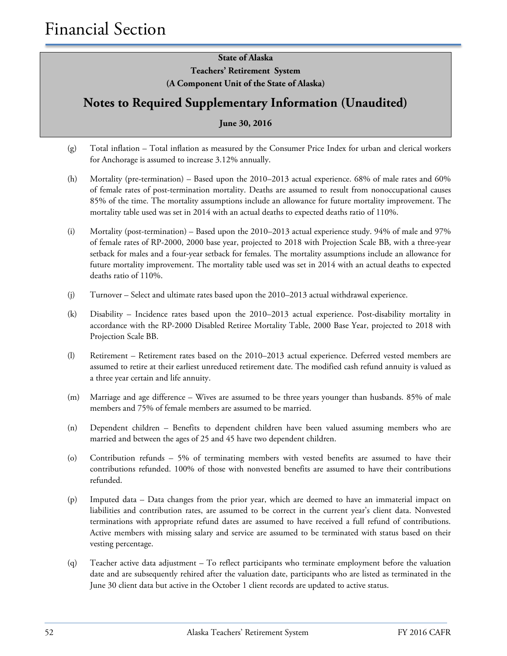# **Notes to Required Supplementary Information (Unaudited)**

### **June 30, 2016**

- (g) Total inflation Total inflation as measured by the Consumer Price Index for urban and clerical workers for Anchorage is assumed to increase 3.12% annually.
- (h) Mortality (pre-termination) Based upon the 2010–2013 actual experience. 68% of male rates and 60% of female rates of post-termination mortality. Deaths are assumed to result from nonoccupational causes 85% of the time. The mortality assumptions include an allowance for future mortality improvement. The mortality table used was set in 2014 with an actual deaths to expected deaths ratio of 110%.
- (i) Mortality (post-termination) Based upon the 2010–2013 actual experience study. 94% of male and 97% of female rates of RP-2000, 2000 base year, projected to 2018 with Projection Scale BB, with a three-year setback for males and a four-year setback for females. The mortality assumptions include an allowance for future mortality improvement. The mortality table used was set in 2014 with an actual deaths to expected deaths ratio of 110%.
- (j) Turnover Select and ultimate rates based upon the 2010–2013 actual withdrawal experience.
- (k) Disability Incidence rates based upon the 2010–2013 actual experience. Post-disability mortality in accordance with the RP-2000 Disabled Retiree Mortality Table, 2000 Base Year, projected to 2018 with Projection Scale BB.
- (l) Retirement Retirement rates based on the 2010–2013 actual experience. Deferred vested members are assumed to retire at their earliest unreduced retirement date. The modified cash refund annuity is valued as a three year certain and life annuity.
- (m) Marriage and age difference Wives are assumed to be three years younger than husbands. 85% of male members and 75% of female members are assumed to be married.
- (n) Dependent children Benefits to dependent children have been valued assuming members who are married and between the ages of 25 and 45 have two dependent children.
- (o) Contribution refunds 5% of terminating members with vested benefits are assumed to have their contributions refunded. 100% of those with nonvested benefits are assumed to have their contributions refunded.
- (p) Imputed data Data changes from the prior year, which are deemed to have an immaterial impact on liabilities and contribution rates, are assumed to be correct in the current year's client data. Nonvested terminations with appropriate refund dates are assumed to have received a full refund of contributions. Active members with missing salary and service are assumed to be terminated with status based on their vesting percentage.
- (q) Teacher active data adjustment To reflect participants who terminate employment before the valuation date and are subsequently rehired after the valuation date, participants who are listed as terminated in the June 30 client data but active in the October 1 client records are updated to active status.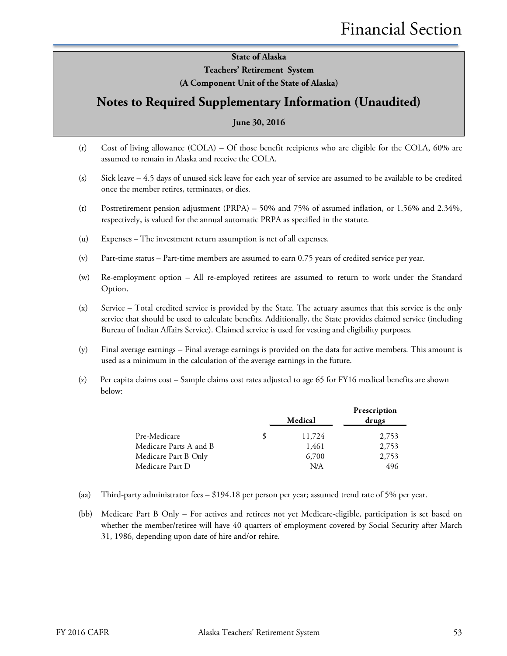# **State of Alaska Teachers' Retirement System**

### **(A Component Unit of the State of Alaska)**

# **Notes to Required Supplementary Information (Unaudited)**

### **June 30, 2016**

- (r) Cost of living allowance (COLA) Of those benefit recipients who are eligible for the COLA, 60% are assumed to remain in Alaska and receive the COLA.
- (s) Sick leave 4.5 days of unused sick leave for each year of service are assumed to be available to be credited once the member retires, terminates, or dies.
- (t) Postretirement pension adjustment (PRPA) 50% and 75% of assumed inflation, or 1.56% and 2.34%, respectively, is valued for the annual automatic PRPA as specified in the statute.
- (u) Expenses The investment return assumption is net of all expenses.
- (v) Part-time status Part-time members are assumed to earn 0.75 years of credited service per year.
- (w) Re-employment option All re-employed retirees are assumed to return to work under the Standard Option.
- (x) Service Total credited service is provided by the State. The actuary assumes that this service is the only service that should be used to calculate benefits. Additionally, the State provides claimed service (including Bureau of Indian Affairs Service). Claimed service is used for vesting and eligibility purposes.
- (y) Final average earnings Final average earnings is provided on the data for active members. This amount is used as a minimum in the calculation of the average earnings in the future.
- (z) Per capita claims cost Sample claims cost rates adjusted to age 65 for FY16 medical benefits are shown below:

|                        |   | Medical | Prescription<br>drugs |
|------------------------|---|---------|-----------------------|
| Pre-Medicare           | S | 11,724  | 2,753                 |
| Medicare Parts A and B |   | 1,461   | 2,753                 |
| Medicare Part B Only   |   | 6,700   | 2,753                 |
| Medicare Part D        |   | N/A     | 496                   |

- (aa) Third-party administrator fees \$194.18 per person per year; assumed trend rate of 5% per year.
- (bb) Medicare Part B Only For actives and retirees not yet Medicare-eligible, participation is set based on whether the member/retiree will have 40 quarters of employment covered by Social Security after March 31, 1986, depending upon date of hire and/or rehire.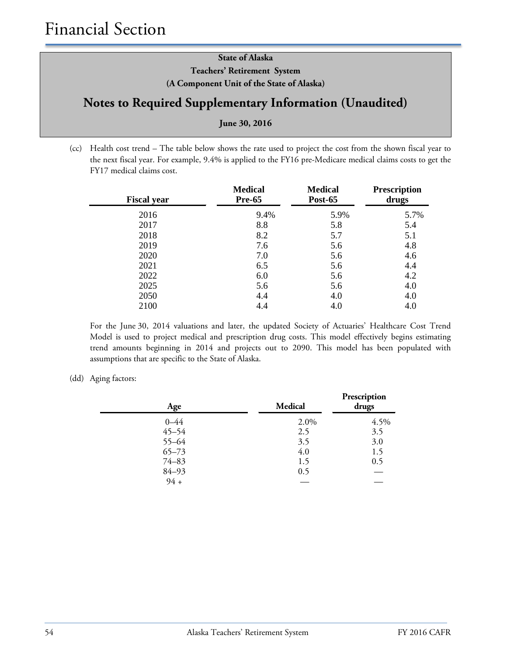# **Notes to Required Supplementary Information (Unaudited)**

**June 30, 2016**

(cc) Health cost trend – The table below shows the rate used to project the cost from the shown fiscal year to the next fiscal year. For example, 9.4% is applied to the FY16 pre-Medicare medical claims costs to get the FY17 medical claims cost.

| <b>Fiscal year</b> | <b>Medical</b><br><b>Pre-65</b> | <b>Medical</b><br>Post-65 | <b>Prescription</b><br>drugs |
|--------------------|---------------------------------|---------------------------|------------------------------|
| 2016               | 9.4%                            | 5.9%                      | 5.7%                         |
| 2017               | 8.8                             | 5.8                       | 5.4                          |
| 2018               | 8.2                             | 5.7                       | 5.1                          |
| 2019               | 7.6                             | 5.6                       | 4.8                          |
| 2020               | 7.0                             | 5.6                       | 4.6                          |
| 2021               | 6.5                             | 5.6                       | 4.4                          |
| 2022               | 6.0                             | 5.6                       | 4.2                          |
| 2025               | 5.6                             | 5.6                       | 4.0                          |
| 2050               | 4.4                             | 4.0                       | 4.0                          |
| 2100               | 4.4                             | 4.0                       | 4.0                          |

For the June 30, 2014 valuations and later, the updated Society of Actuaries' Healthcare Cost Trend Model is used to project medical and prescription drug costs. This model effectively begins estimating trend amounts beginning in 2014 and projects out to 2090. This model has been populated with assumptions that are specific to the State of Alaska.

### (dd) Aging factors:

| Age       | Medical | Prescription<br>drugs |
|-----------|---------|-----------------------|
| $0 - 44$  | 2.0%    | 4.5%                  |
| $45 - 54$ | 2.5     | 3.5                   |
| $55 - 64$ | 3.5     | 3.0                   |
| $65 - 73$ | 4.0     | 1.5                   |
| $74 - 83$ | 1.5     | 0.5                   |
| $84 - 93$ | 0.5     |                       |
| $94 +$    |         |                       |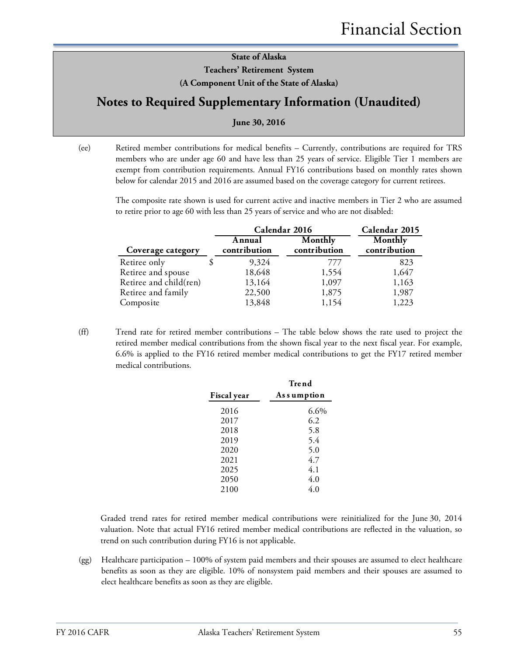# **Notes to Required Supplementary Information (Unaudited)**

**June 30, 2016**

(ee) Retired member contributions for medical benefits – Currently, contributions are required for TRS members who are under age 60 and have less than 25 years of service. Eligible Tier 1 members are exempt from contribution requirements. Annual FY16 contributions based on monthly rates shown below for calendar 2015 and 2016 are assumed based on the coverage category for current retirees.

The composite rate shown is used for current active and inactive members in Tier 2 who are assumed to retire prior to age 60 with less than 25 years of service and who are not disabled:

|                        | Calendar 2016          | Calendar 2015           |                         |
|------------------------|------------------------|-------------------------|-------------------------|
| Coverage category      | Annual<br>contribution | Monthly<br>contribution | Monthly<br>contribution |
| Retiree only           | 9,324                  | 777                     | 823                     |
| Retiree and spouse     | 18,648                 | 1,554                   | 1,647                   |
| Retiree and child(ren) | 13,164                 | 1,097                   | 1,163                   |
| Retiree and family     | 22,500                 | 1,875                   | 1,987                   |
| Composite              | 13,848                 | 1,154                   | 1,223                   |

(ff) Trend rate for retired member contributions – The table below shows the rate used to project the retired member medical contributions from the shown fiscal year to the next fiscal year. For example, 6.6% is applied to the FY16 retired member medical contributions to get the FY17 retired member medical contributions.

|                    | Trend        |
|--------------------|--------------|
| <b>Fiscal</b> year | As s umption |
| 2016               | 6.6%         |
| 2017               | 6.2          |
| 2018               | 5.8          |
| 2019               | 5.4          |
| 2020               | 5.0          |
| 2021               | 4.7          |
| 2025               | 4.1          |
| 2050               | 4.0          |
| 2100               | 4.0          |

Graded trend rates for retired member medical contributions were reinitialized for the June 30, 2014 valuation. Note that actual FY16 retired member medical contributions are reflected in the valuation, so trend on such contribution during FY16 is not applicable.

(gg) Healthcare participation – 100% of system paid members and their spouses are assumed to elect healthcare benefits as soon as they are eligible. 10% of nonsystem paid members and their spouses are assumed to elect healthcare benefits as soon as they are eligible.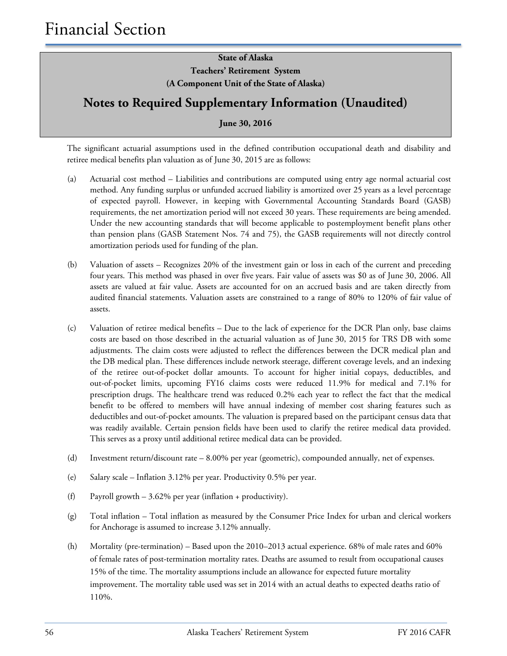# **Notes to Required Supplementary Information (Unaudited)**

**June 30, 2016**

The significant actuarial assumptions used in the defined contribution occupational death and disability and retiree medical benefits plan valuation as of June 30, 2015 are as follows:

- (a) Actuarial cost method Liabilities and contributions are computed using entry age normal actuarial cost method. Any funding surplus or unfunded accrued liability is amortized over 25 years as a level percentage of expected payroll. However, in keeping with Governmental Accounting Standards Board (GASB) requirements, the net amortization period will not exceed 30 years. These requirements are being amended. Under the new accounting standards that will become applicable to postemployment benefit plans other than pension plans (GASB Statement Nos. 74 and 75), the GASB requirements will not directly control amortization periods used for funding of the plan.
- (b) Valuation of assets Recognizes 20% of the investment gain or loss in each of the current and preceding four years. This method was phased in over five years. Fair value of assets was \$0 as of June 30, 2006. All assets are valued at fair value. Assets are accounted for on an accrued basis and are taken directly from audited financial statements. Valuation assets are constrained to a range of 80% to 120% of fair value of assets.
- (c) Valuation of retiree medical benefits Due to the lack of experience for the DCR Plan only, base claims costs are based on those described in the actuarial valuation as of June 30, 2015 for TRS DB with some adjustments. The claim costs were adjusted to reflect the differences between the DCR medical plan and the DB medical plan. These differences include network steerage, different coverage levels, and an indexing of the retiree out-of-pocket dollar amounts. To account for higher initial copays, deductibles, and out-of-pocket limits, upcoming FY16 claims costs were reduced 11.9% for medical and 7.1% for prescription drugs. The healthcare trend was reduced 0.2% each year to reflect the fact that the medical benefit to be offered to members will have annual indexing of member cost sharing features such as deductibles and out-of-pocket amounts. The valuation is prepared based on the participant census data that was readily available. Certain pension fields have been used to clarify the retiree medical data provided. This serves as a proxy until additional retiree medical data can be provided.
- (d) Investment return/discount rate 8.00% per year (geometric), compounded annually, net of expenses.
- (e) Salary scale Inflation 3.12% per year. Productivity 0.5% per year.
- (f) Payroll growth  $-3.62\%$  per year (inflation + productivity).
- (g) Total inflation Total inflation as measured by the Consumer Price Index for urban and clerical workers for Anchorage is assumed to increase 3.12% annually.
- (h) Mortality (pre-termination) Based upon the 2010–2013 actual experience. 68% of male rates and 60% of female rates of post-termination mortality rates. Deaths are assumed to result from occupational causes 15% of the time. The mortality assumptions include an allowance for expected future mortality improvement. The mortality table used was set in 2014 with an actual deaths to expected deaths ratio of 110%.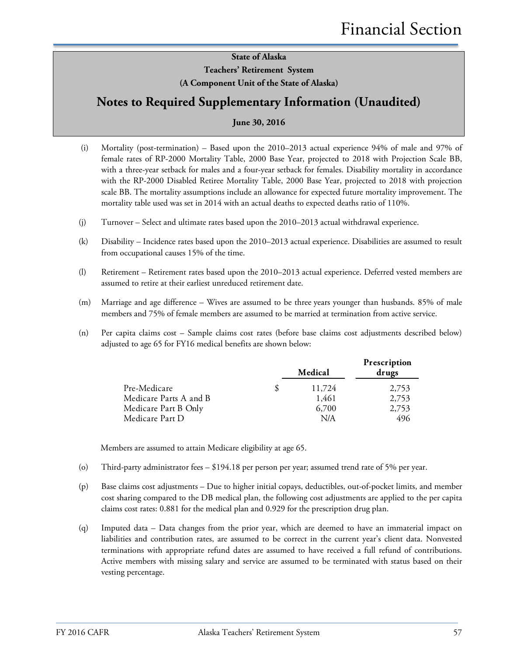# **Notes to Required Supplementary Information (Unaudited)**

### **June 30, 2016**

- (i) Mortality (post-termination) Based upon the 2010–2013 actual experience 94% of male and 97% of female rates of RP-2000 Mortality Table, 2000 Base Year, projected to 2018 with Projection Scale BB, with a three-year setback for males and a four-year setback for females. Disability mortality in accordance with the RP-2000 Disabled Retiree Mortality Table, 2000 Base Year, projected to 2018 with projection scale BB. The mortality assumptions include an allowance for expected future mortality improvement. The mortality table used was set in 2014 with an actual deaths to expected deaths ratio of 110%.
- (j) Turnover Select and ultimate rates based upon the 2010–2013 actual withdrawal experience.
- (k) Disability Incidence rates based upon the 2010–2013 actual experience. Disabilities are assumed to result from occupational causes 15% of the time.
- (l) Retirement Retirement rates based upon the 2010–2013 actual experience. Deferred vested members are assumed to retire at their earliest unreduced retirement date.
- (m) Marriage and age difference Wives are assumed to be three years younger than husbands. 85% of male members and 75% of female members are assumed to be married at termination from active service.
- (n) Per capita claims cost Sample claims cost rates (before base claims cost adjustments described below) adjusted to age 65 for FY16 medical benefits are shown below:

|                        |   | Medical | Prescription<br>drugs |
|------------------------|---|---------|-----------------------|
| Pre-Medicare           | S | 11,724  | 2,753                 |
| Medicare Parts A and B |   | 1,461   | 2,753                 |
| Medicare Part B Only   |   | 6,700   | 2,753                 |
| Medicare Part D        |   | N/A     | 496                   |

Members are assumed to attain Medicare eligibility at age 65.

- (o) Third-party administrator fees \$194.18 per person per year; assumed trend rate of 5% per year.
- (p) Base claims cost adjustments Due to higher initial copays, deductibles, out-of-pocket limits, and member cost sharing compared to the DB medical plan, the following cost adjustments are applied to the per capita claims cost rates: 0.881 for the medical plan and 0.929 for the prescription drug plan.
- (q) Imputed data Data changes from the prior year, which are deemed to have an immaterial impact on liabilities and contribution rates, are assumed to be correct in the current year's client data. Nonvested terminations with appropriate refund dates are assumed to have received a full refund of contributions. Active members with missing salary and service are assumed to be terminated with status based on their vesting percentage.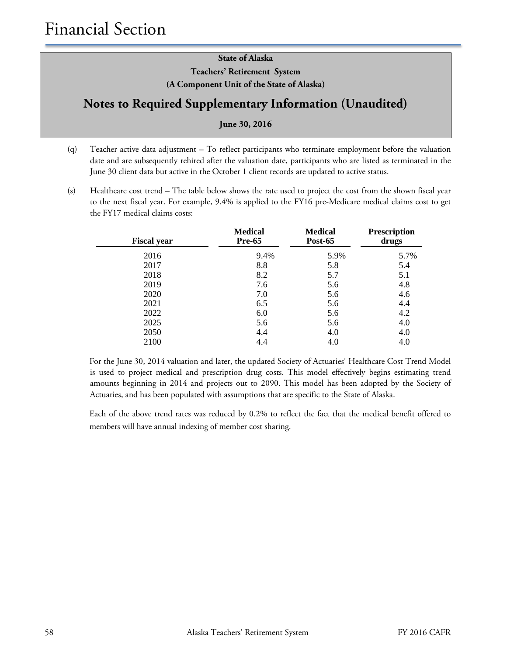# **Notes to Required Supplementary Information (Unaudited)**

**June 30, 2016**

- (q) Teacher active data adjustment To reflect participants who terminate employment before the valuation date and are subsequently rehired after the valuation date, participants who are listed as terminated in the June 30 client data but active in the October 1 client records are updated to active status.
- (s) Healthcare cost trend The table below shows the rate used to project the cost from the shown fiscal year to the next fiscal year. For example, 9.4% is applied to the FY16 pre-Medicare medical claims cost to get the FY17 medical claims costs:

| <b>Fiscal year</b> | <b>Medical</b><br><b>Pre-65</b> | <b>Medical</b><br><b>Post-65</b> | <b>Prescription</b><br>drugs |
|--------------------|---------------------------------|----------------------------------|------------------------------|
| 2016               | 9.4%                            | 5.9%                             | 5.7%                         |
| 2017               | 8.8                             | 5.8                              | 5.4                          |
| 2018               | 8.2                             | 5.7                              | 5.1                          |
| 2019               | 7.6                             | 5.6                              | 4.8                          |
| 2020               | 7.0                             | 5.6                              | 4.6                          |
| 2021               | 6.5                             | 5.6                              | 4.4                          |
| 2022               | 6.0                             | 5.6                              | 4.2                          |
| 2025               | 5.6                             | 5.6                              | 4.0                          |
| 2050               | 4.4                             | 4.0                              | 4.0                          |
| 2100               | 4.4                             | 4.0                              | 4.0                          |

For the June 30, 2014 valuation and later, the updated Society of Actuaries' Healthcare Cost Trend Model is used to project medical and prescription drug costs. This model effectively begins estimating trend amounts beginning in 2014 and projects out to 2090. This model has been adopted by the Society of Actuaries, and has been populated with assumptions that are specific to the State of Alaska.

Each of the above trend rates was reduced by 0.2% to reflect the fact that the medical benefit offered to members will have annual indexing of member cost sharing.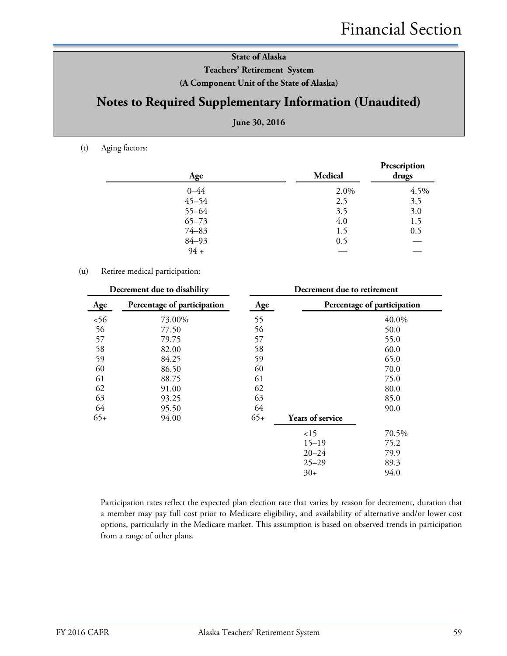### **State of Alaska Teachers' Retirement System**

**(A Component Unit of the State of Alaska)**

# **Notes to Required Supplementary Information (Unaudited)**

### **June 30, 2016**

### (t) Aging factors:

| Age       | Medical | Prescription<br>drugs |
|-----------|---------|-----------------------|
| $0 - 44$  | 2.0%    | 4.5%                  |
| $45 - 54$ | 2.5     | 3.5                   |
| $55 - 64$ | 3.5     | 3.0                   |
| $65 - 73$ | 4.0     | 1.5                   |
| $74 - 83$ | 1.5     | 0.5                   |
| $84 - 93$ | 0.5     |                       |
| $94 +$    |         |                       |

#### (u) Retiree medical participation:

|        | Decrement due to disability |       | Decrement due to retirement |                             |
|--------|-----------------------------|-------|-----------------------------|-----------------------------|
| Age    | Percentage of participation | Age   |                             | Percentage of participation |
| $<$ 56 | 73.00%                      | 55    |                             | 40.0%                       |
| 56     | 77.50                       | 56    |                             | 50.0                        |
| 57     | 79.75                       | 57    |                             | 55.0                        |
| 58     | 82.00                       | 58    |                             | 60.0                        |
| 59     | 84.25                       | 59    |                             | 65.0                        |
| 60     | 86.50                       | 60    |                             | 70.0                        |
| 61     | 88.75                       | 61    |                             | 75.0                        |
| 62     | 91.00                       | 62    |                             | 80.0                        |
| 63     | 93.25                       | 63    |                             | 85.0                        |
| 64     | 95.50                       | 64    |                             | 90.0                        |
| $65+$  | 94.00                       | $65+$ | <b>Years of service</b>     |                             |
|        |                             |       | <15                         | 70.5%                       |
|        |                             |       | $15 - 19$                   | 75.2                        |
|        |                             |       | $20 - 24$                   | 79.9                        |
|        |                             |       | $25 - 29$                   | 89.3                        |
|        |                             |       | $30+$                       | 94.0                        |

Participation rates reflect the expected plan election rate that varies by reason for decrement, duration that a member may pay full cost prior to Medicare eligibility, and availability of alternative and/or lower cost options, particularly in the Medicare market. This assumption is based on observed trends in participation from a range of other plans.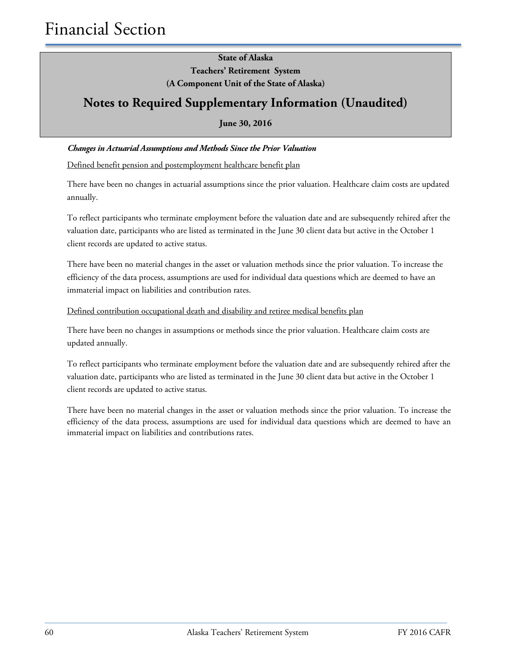# **Notes to Required Supplementary Information (Unaudited)**

**June 30, 2016**

### *Changes in Actuarial Assumptions and Methods Since the Prior Valuation*

### Defined benefit pension and postemployment healthcare benefit plan

There have been no changes in actuarial assumptions since the prior valuation. Healthcare claim costs are updated annually.

To reflect participants who terminate employment before the valuation date and are subsequently rehired after the valuation date, participants who are listed as terminated in the June 30 client data but active in the October 1 client records are updated to active status.

There have been no material changes in the asset or valuation methods since the prior valuation. To increase the efficiency of the data process, assumptions are used for individual data questions which are deemed to have an immaterial impact on liabilities and contribution rates.

### Defined contribution occupational death and disability and retiree medical benefits plan

There have been no changes in assumptions or methods since the prior valuation. Healthcare claim costs are updated annually.

To reflect participants who terminate employment before the valuation date and are subsequently rehired after the valuation date, participants who are listed as terminated in the June 30 client data but active in the October 1 client records are updated to active status.

There have been no material changes in the asset or valuation methods since the prior valuation. To increase the efficiency of the data process, assumptions are used for individual data questions which are deemed to have an immaterial impact on liabilities and contributions rates.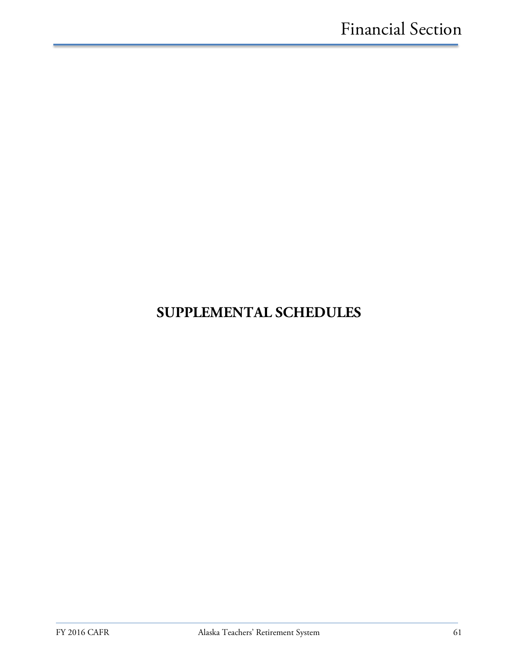# **SUPPLEMENTAL SCHEDULES**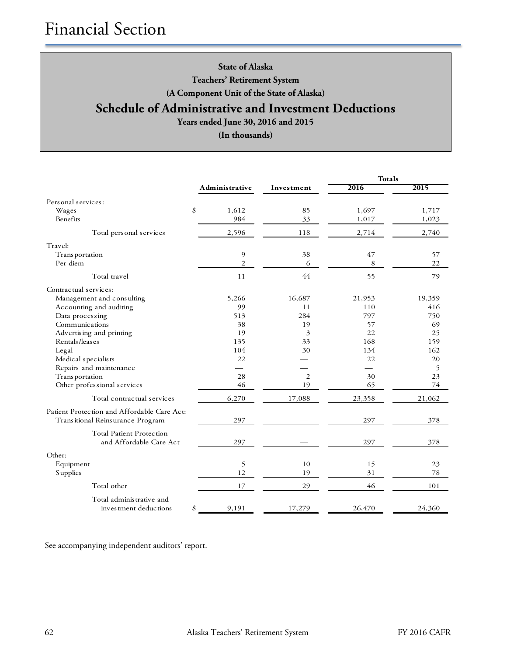**Teachers' Retirement System**

**(A Component Unit of the State of Alaska)**

### **Schedule of Administrative and Investment Deductions**

**Years ended June 30, 2016 and 2015**

**(In thousands)**

|                                                         |                |                | <b>Totals</b> |        |
|---------------------------------------------------------|----------------|----------------|---------------|--------|
|                                                         | Administrative | Investment     | 2016          | 2015   |
| Personal services:                                      |                |                |               |        |
| \$<br>Wages                                             | 1,612          | 85             | 1,697         | 1,717  |
| Benefits                                                | 984            | 33             | 1,017         | 1,023  |
| Total personal services                                 | 2,596          | 118            | 2,714         | 2,740  |
| Travel:                                                 |                |                |               |        |
| Transportation                                          | 9              | 38             | 47            | 57     |
| Per diem                                                | $\mathfrak{2}$ | 6              | 8             | 22     |
|                                                         |                |                |               |        |
| Total travel                                            | 11             | 44             | 55            | 79     |
| Contractual services:                                   |                |                |               |        |
| Management and consulting                               | 5,266          | 16,687         | 21,953        | 19,359 |
| Accounting and auditing                                 | 99             | 11             | 110           | 416    |
| Data processing                                         | 513            | 284            | 797           | 750    |
| Communications                                          | 38             | 19             | 57            | 69     |
| Advertising and printing                                | 19             | 3              | 22            | 25     |
| Rentals/leases                                          | 135            | 33             | 168           | 159    |
| Legal                                                   | 104            | 30             | 134           | 162    |
| Medical specialists                                     | 22             |                | 22            | 20     |
| Repairs and maintenance                                 |                |                |               | 5      |
| Transportation                                          | 28             | $\overline{2}$ | 30            | 23     |
| Other professional services                             | 46             | 19             | 65            | 74     |
| Total contractual services                              | 6,270          | 17,088         | 23,358        | 21,062 |
| Patient Protection and Affordable Care Act:             |                |                |               |        |
| Transitional Reinsurance Program                        | 297            |                | 297           | 378    |
| <b>Total Patient Protection</b>                         |                |                |               |        |
| and Affordable Care Act                                 | 297            |                | 297           | 378    |
| Other:                                                  |                |                |               |        |
| Equipment                                               | 5              | 10             | 15            | 23     |
| Supplies                                                | 12             | 19             | 31            | 78     |
| Total other                                             | 17             | 29             | 46            | 101    |
|                                                         |                |                |               |        |
| Total administrative and<br>\$<br>investment deductions | 9,191          | 17,279         | 26,470        | 24,360 |

See accompanying independent auditors' report.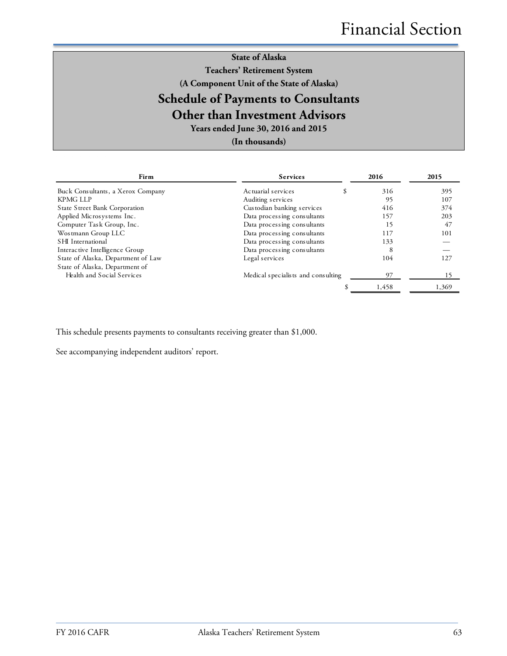**Teachers' Retirement System**

**(A Component Unit of the State of Alaska)**

# **Schedule of Payments to Consultants**

### **Other than Investment Advisors**

**Years ended June 30, 2016 and 2015**

**(In thousands)**

| Firm                               | <b>Services</b>                    | 2016  | 2015  |
|------------------------------------|------------------------------------|-------|-------|
| Buck Consultants, a Xerox Company  | Actuarial services                 | 316   | 395   |
| <b>KPMG LLP</b>                    | Auditing services                  | 95    | 107   |
| State Street Bank Corporation      | Custodian banking services         | 416   | 374   |
| Applied Microsystems Inc.          | Data processing consultants        | 157   | 203   |
| Computer Task Group, Inc.          | Data processing consultants        | 15    | 47    |
| Wostmann Group LLC                 | Data processing consultants        | 117   | 101   |
| SHI International                  | Data processing consultants        | 133   |       |
| Interactive Intelligence Group     | Data processing consultants        | 8     |       |
| State of Alaska, Department of Law | Legal services                     | 104   | 127   |
| State of Alaska, Department of     |                                    |       |       |
| Health and Social Services         | Medical specialists and consulting | 97    | 15    |
|                                    |                                    | 1,458 | 1,369 |

This schedule presents payments to consultants receiving greater than \$1,000.

See accompanying independent auditors' report.